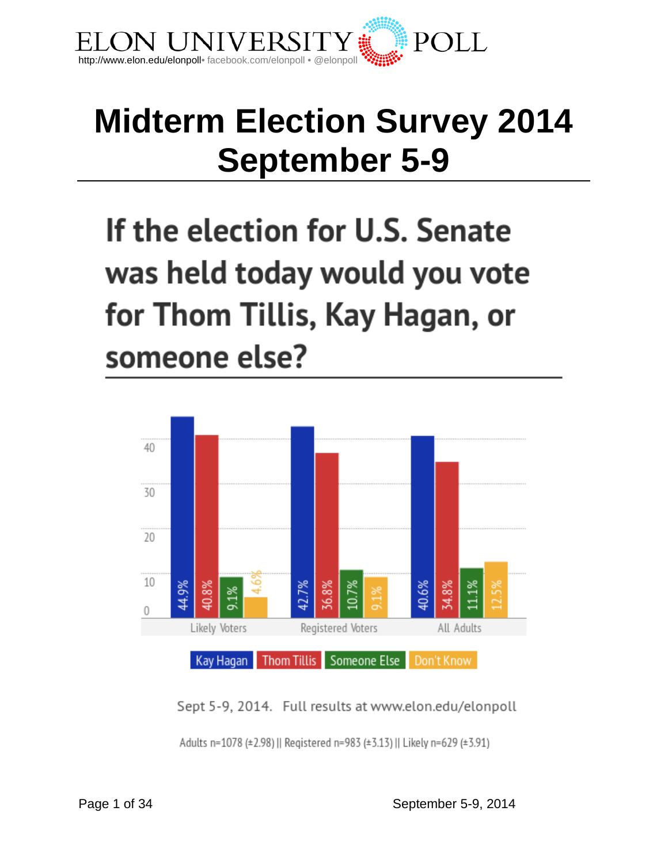

## **Midterm Election Survey 2014 September 5-9**

If the election for U.S. Senate was held today would you vote for Thom Tillis, Kay Hagan, or someone else?



Sept 5-9, 2014. Full results at www.elon.edu/elonpoll Adults n=1078 (±2.98) || Registered n=983 (±3.13) || Likely n=629 (±3.91)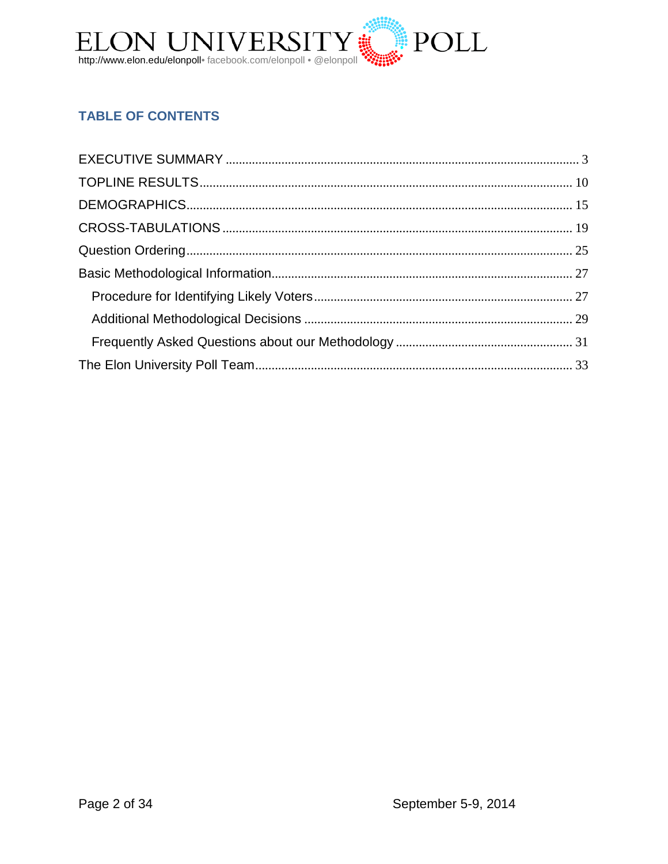

## **TABLE OF CONTENTS**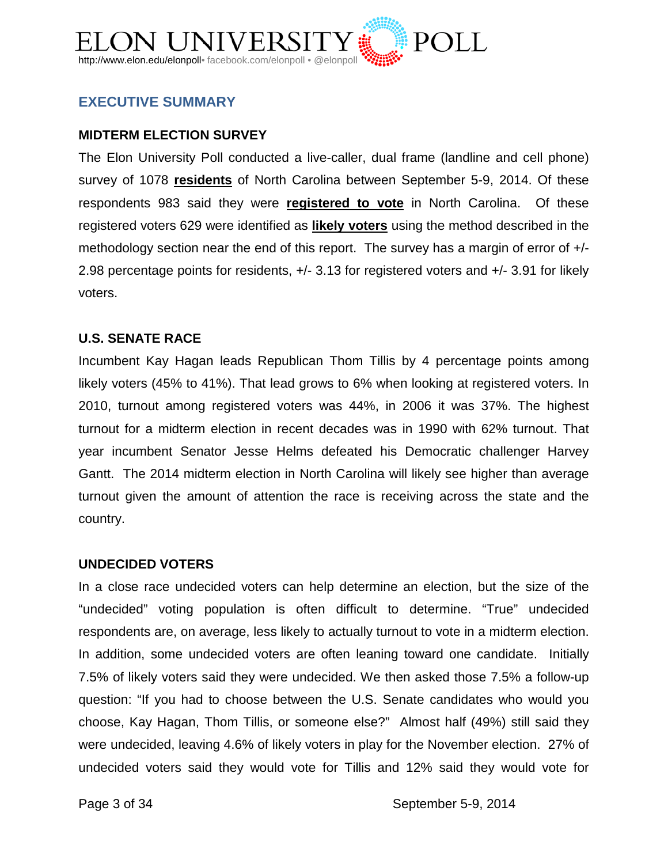

## <span id="page-2-0"></span>**EXECUTIVE SUMMARY**

## **MIDTERM ELECTION SURVEY**

The Elon University Poll conducted a live-caller, dual frame (landline and cell phone) survey of 1078 **residents** of North Carolina between September 5-9, 2014. Of these respondents 983 said they were **registered to vote** in North Carolina. Of these registered voters 629 were identified as **likely voters** using the method described in the methodology section near the end of this report. The survey has a margin of error of +/- 2.98 percentage points for residents, +/- 3.13 for registered voters and +/- 3.91 for likely voters.

#### **U.S. SENATE RACE**

Incumbent Kay Hagan leads Republican Thom Tillis by 4 percentage points among likely voters (45% to 41%). That lead grows to 6% when looking at registered voters. In 2010, turnout among registered voters was 44%, in 2006 it was 37%. The highest turnout for a midterm election in recent decades was in 1990 with 62% turnout. That year incumbent Senator Jesse Helms defeated his Democratic challenger Harvey Gantt. The 2014 midterm election in North Carolina will likely see higher than average turnout given the amount of attention the race is receiving across the state and the country.

#### **UNDECIDED VOTERS**

In a close race undecided voters can help determine an election, but the size of the "undecided" voting population is often difficult to determine. "True" undecided respondents are, on average, less likely to actually turnout to vote in a midterm election. In addition, some undecided voters are often leaning toward one candidate. Initially 7.5% of likely voters said they were undecided. We then asked those 7.5% a follow-up question: "If you had to choose between the U.S. Senate candidates who would you choose, Kay Hagan, Thom Tillis, or someone else?" Almost half (49%) still said they were undecided, leaving 4.6% of likely voters in play for the November election. 27% of undecided voters said they would vote for Tillis and 12% said they would vote for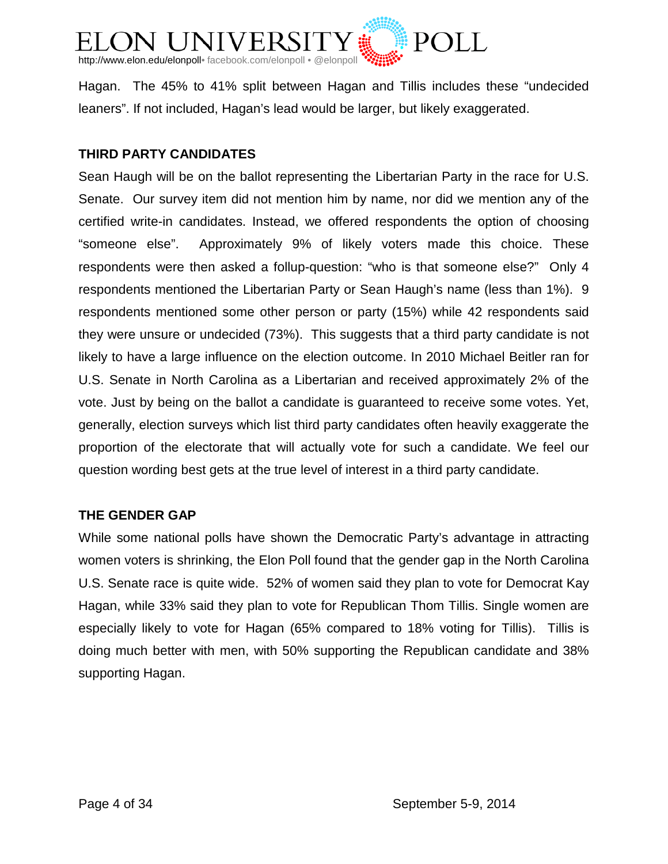

Hagan. The 45% to 41% split between Hagan and Tillis includes these "undecided leaners". If not included, Hagan's lead would be larger, but likely exaggerated.

### **THIRD PARTY CANDIDATES**

Sean Haugh will be on the ballot representing the Libertarian Party in the race for U.S. Senate. Our survey item did not mention him by name, nor did we mention any of the certified write-in candidates. Instead, we offered respondents the option of choosing "someone else". Approximately 9% of likely voters made this choice. These respondents were then asked a follup-question: "who is that someone else?" Only 4 respondents mentioned the Libertarian Party or Sean Haugh's name (less than 1%). 9 respondents mentioned some other person or party (15%) while 42 respondents said they were unsure or undecided (73%). This suggests that a third party candidate is not likely to have a large influence on the election outcome. In 2010 Michael Beitler ran for U.S. Senate in North Carolina as a Libertarian and received approximately 2% of the vote. Just by being on the ballot a candidate is guaranteed to receive some votes. Yet, generally, election surveys which list third party candidates often heavily exaggerate the proportion of the electorate that will actually vote for such a candidate. We feel our question wording best gets at the true level of interest in a third party candidate.

## **THE GENDER GAP**

While some national polls have shown the Democratic Party's advantage in attracting women voters is shrinking, the Elon Poll found that the gender gap in the North Carolina U.S. Senate race is quite wide. 52% of women said they plan to vote for Democrat Kay Hagan, while 33% said they plan to vote for Republican Thom Tillis. Single women are especially likely to vote for Hagan (65% compared to 18% voting for Tillis). Tillis is doing much better with men, with 50% supporting the Republican candidate and 38% supporting Hagan.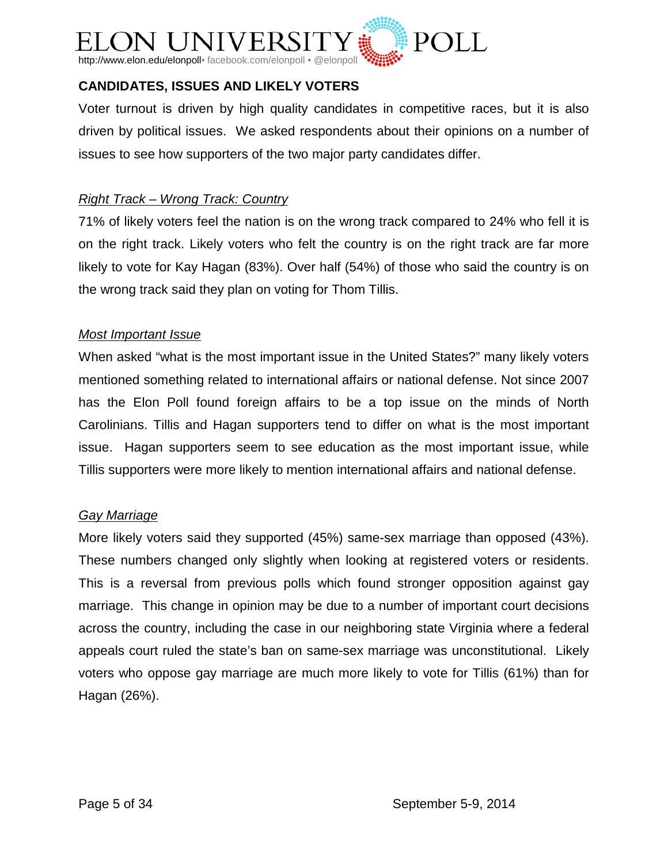

## **CANDIDATES, ISSUES AND LIKELY VOTERS**

Voter turnout is driven by high quality candidates in competitive races, but it is also driven by political issues. We asked respondents about their opinions on a number of issues to see how supporters of the two major party candidates differ.

### *Right Track – Wrong Track: Country*

71% of likely voters feel the nation is on the wrong track compared to 24% who fell it is on the right track. Likely voters who felt the country is on the right track are far more likely to vote for Kay Hagan (83%). Over half (54%) of those who said the country is on the wrong track said they plan on voting for Thom Tillis.

#### *Most Important Issue*

When asked "what is the most important issue in the United States?" many likely voters mentioned something related to international affairs or national defense. Not since 2007 has the Elon Poll found foreign affairs to be a top issue on the minds of North Carolinians. Tillis and Hagan supporters tend to differ on what is the most important issue. Hagan supporters seem to see education as the most important issue, while Tillis supporters were more likely to mention international affairs and national defense.

## *Gay Marriage*

More likely voters said they supported (45%) same-sex marriage than opposed (43%). These numbers changed only slightly when looking at registered voters or residents. This is a reversal from previous polls which found stronger opposition against gay marriage. This change in opinion may be due to a number of important court decisions across the country, including the case in our neighboring state Virginia where a federal appeals court ruled the state's ban on same-sex marriage was unconstitutional. Likely voters who oppose gay marriage are much more likely to vote for Tillis (61%) than for Hagan (26%).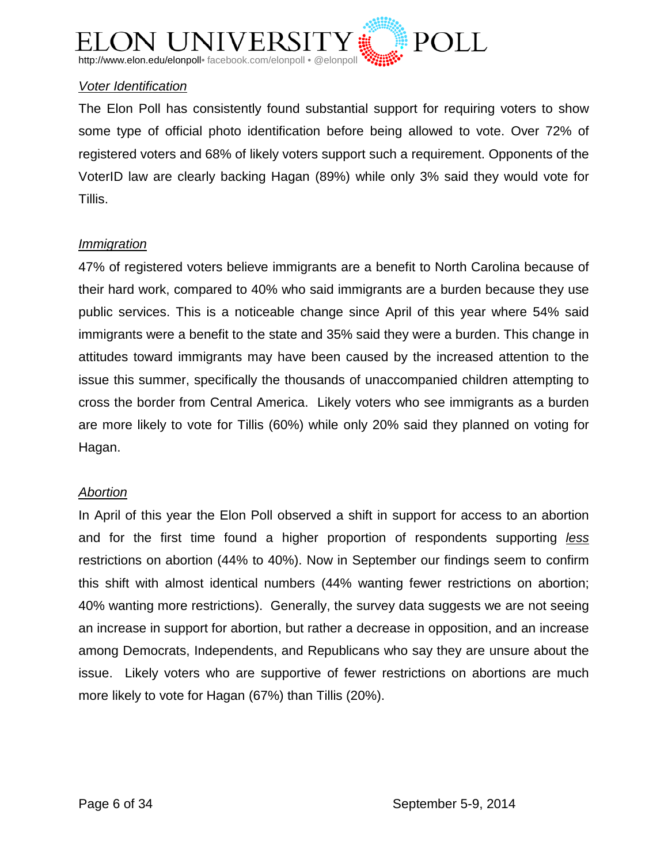

## *Voter Identification*

The Elon Poll has consistently found substantial support for requiring voters to show some type of official photo identification before being allowed to vote. Over 72% of registered voters and 68% of likely voters support such a requirement. Opponents of the VoterID law are clearly backing Hagan (89%) while only 3% said they would vote for Tillis.

#### *Immigration*

47% of registered voters believe immigrants are a benefit to North Carolina because of their hard work, compared to 40% who said immigrants are a burden because they use public services. This is a noticeable change since April of this year where 54% said immigrants were a benefit to the state and 35% said they were a burden. This change in attitudes toward immigrants may have been caused by the increased attention to the issue this summer, specifically the thousands of unaccompanied children attempting to cross the border from Central America. Likely voters who see immigrants as a burden are more likely to vote for Tillis (60%) while only 20% said they planned on voting for Hagan.

#### *Abortion*

In April of this year the Elon Poll observed a shift in support for access to an abortion and for the first time found a higher proportion of respondents supporting *less* restrictions on abortion (44% to 40%). Now in September our findings seem to confirm this shift with almost identical numbers (44% wanting fewer restrictions on abortion; 40% wanting more restrictions). Generally, the survey data suggests we are not seeing an increase in support for abortion, but rather a decrease in opposition, and an increase among Democrats, Independents, and Republicans who say they are unsure about the issue. Likely voters who are supportive of fewer restrictions on abortions are much more likely to vote for Hagan (67%) than Tillis (20%).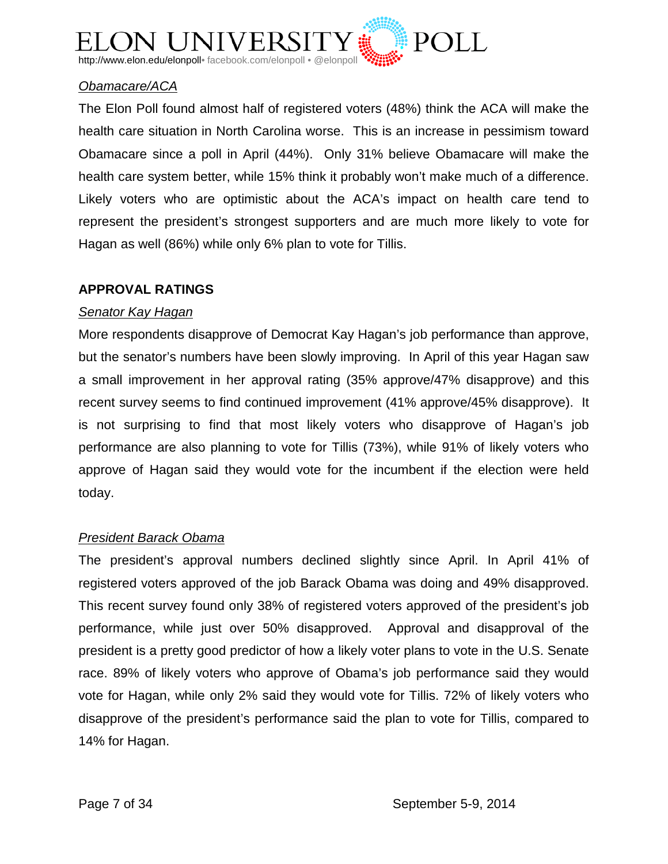

## *Obamacare/ACA*

The Elon Poll found almost half of registered voters (48%) think the ACA will make the health care situation in North Carolina worse. This is an increase in pessimism toward Obamacare since a poll in April (44%). Only 31% believe Obamacare will make the health care system better, while 15% think it probably won't make much of a difference. Likely voters who are optimistic about the ACA's impact on health care tend to represent the president's strongest supporters and are much more likely to vote for Hagan as well (86%) while only 6% plan to vote for Tillis.

#### **APPROVAL RATINGS**

#### *Senator Kay Hagan*

More respondents disapprove of Democrat Kay Hagan's job performance than approve, but the senator's numbers have been slowly improving. In April of this year Hagan saw a small improvement in her approval rating (35% approve/47% disapprove) and this recent survey seems to find continued improvement (41% approve/45% disapprove). It is not surprising to find that most likely voters who disapprove of Hagan's job performance are also planning to vote for Tillis (73%), while 91% of likely voters who approve of Hagan said they would vote for the incumbent if the election were held today.

#### *President Barack Obama*

The president's approval numbers declined slightly since April. In April 41% of registered voters approved of the job Barack Obama was doing and 49% disapproved. This recent survey found only 38% of registered voters approved of the president's job performance, while just over 50% disapproved. Approval and disapproval of the president is a pretty good predictor of how a likely voter plans to vote in the U.S. Senate race. 89% of likely voters who approve of Obama's job performance said they would vote for Hagan, while only 2% said they would vote for Tillis. 72% of likely voters who disapprove of the president's performance said the plan to vote for Tillis, compared to 14% for Hagan.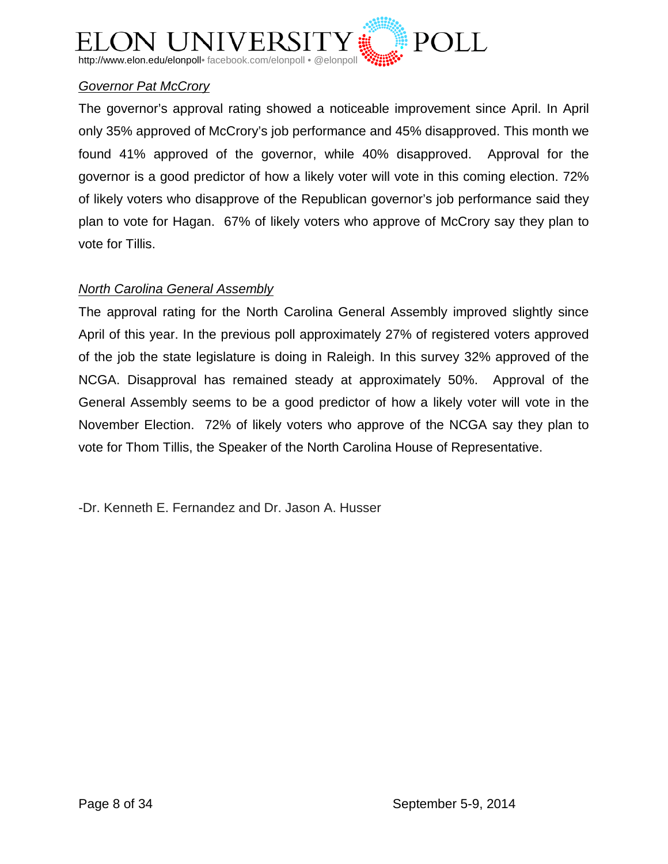

## *Governor Pat McCrory*

The governor's approval rating showed a noticeable improvement since April. In April only 35% approved of McCrory's job performance and 45% disapproved. This month we found 41% approved of the governor, while 40% disapproved. Approval for the governor is a good predictor of how a likely voter will vote in this coming election. 72% of likely voters who disapprove of the Republican governor's job performance said they plan to vote for Hagan. 67% of likely voters who approve of McCrory say they plan to vote for Tillis.

#### *North Carolina General Assembly*

The approval rating for the North Carolina General Assembly improved slightly since April of this year. In the previous poll approximately 27% of registered voters approved of the job the state legislature is doing in Raleigh. In this survey 32% approved of the NCGA. Disapproval has remained steady at approximately 50%. Approval of the General Assembly seems to be a good predictor of how a likely voter will vote in the November Election. 72% of likely voters who approve of the NCGA say they plan to vote for Thom Tillis, the Speaker of the North Carolina House of Representative.

-Dr. Kenneth E. Fernandez and Dr. Jason A. Husser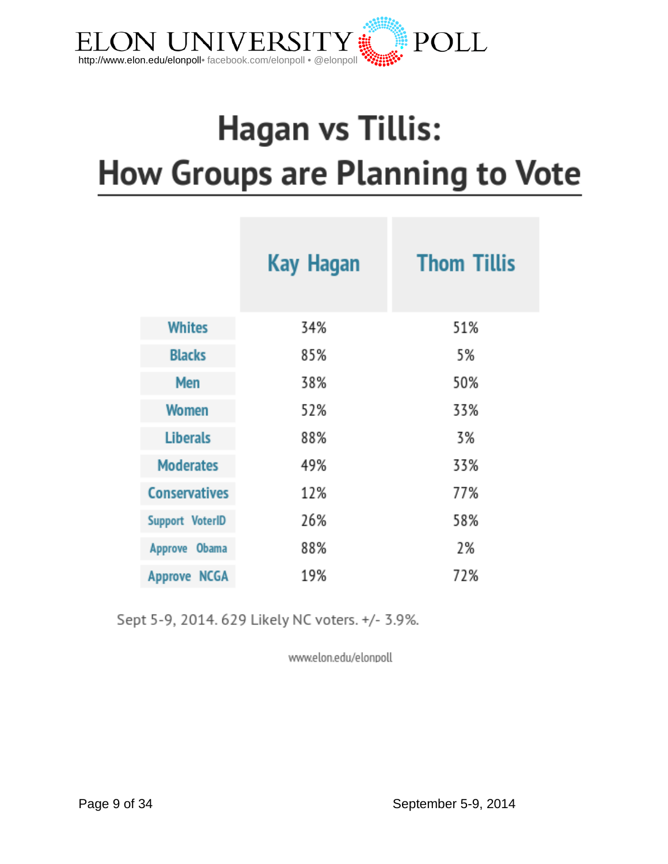

# **Hagan vs Tillis:** How Groups are Planning to Vote

|                      | <b>Kay Hagan</b> | <b>Thom Tillis</b> |
|----------------------|------------------|--------------------|
| <b>Whites</b>        | 34%              | 51%                |
| <b>Blacks</b>        | 85%              | 5%                 |
| Men                  | 38%              | 50%                |
| <b>Women</b>         | 52%              | 33%                |
| <b>Liberals</b>      | 88%              | 3%                 |
| <b>Moderates</b>     | 49%              | 33%                |
| <b>Conservatives</b> | 12%              | 77%                |
| Support VoterID      | 26%              | 58%                |
| Approve Obama        | 88%              | 2%                 |
| <b>Approve NCGA</b>  | 19%              | 72%                |

Sept 5-9, 2014. 629 Likely NC voters. +/- 3.9%.

www.elon.edu/elonpoll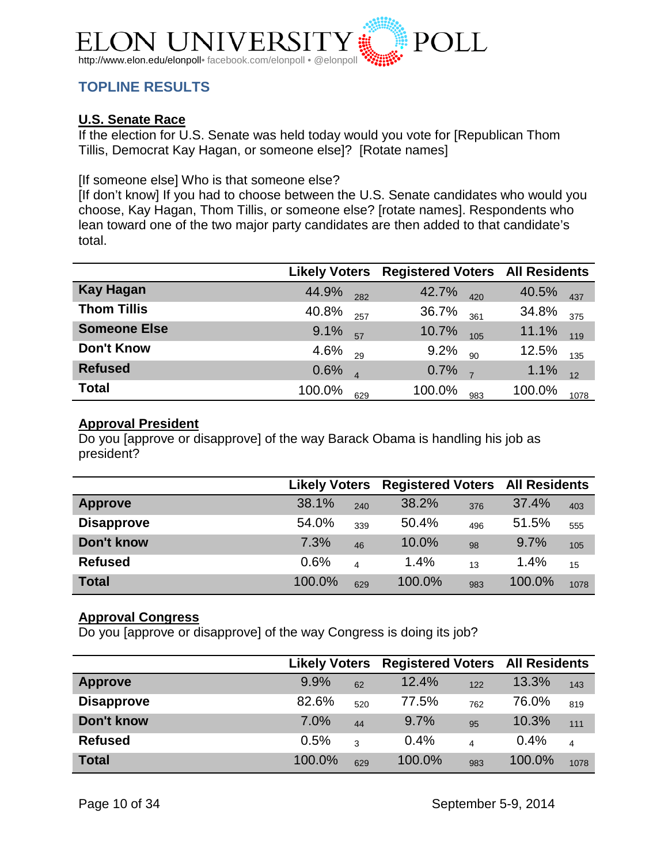

## <span id="page-9-0"></span>**TOPLINE RESULTS**

## **U.S. Senate Race**

If the election for U.S. Senate was held today would you vote for [Republican Thom Tillis, Democrat Kay Hagan, or someone else]? [Rotate names]

#### [If someone else] Who is that someone else?

[If don't know] If you had to choose between the U.S. Senate candidates who would you choose, Kay Hagan, Thom Tillis, or someone else? [rotate names]. Respondents who lean toward one of the two major party candidates are then added to that candidate's total.

|                     | <b>Likely Voters</b> |     | <b>Registered Voters All Residents</b> |     |        |      |
|---------------------|----------------------|-----|----------------------------------------|-----|--------|------|
| <b>Kay Hagan</b>    | 44.9%                | 282 | 42.7%                                  | 420 | 40.5%  | 437  |
| <b>Thom Tillis</b>  | 40.8%                | 257 | 36.7%                                  | 361 | 34.8%  | 375  |
| <b>Someone Else</b> | 9.1%                 | 57  | 10.7%                                  | 105 | 11.1%  | 119  |
| <b>Don't Know</b>   | 4.6%                 | 29  | 9.2%                                   | 90  | 12.5%  | 135  |
| <b>Refused</b>      | 0.6%                 |     | 0.7%                                   |     | 1.1%   | 12   |
| <b>Total</b>        | 100.0%               | 629 | 100.0%                                 | 983 | 100.0% | 1078 |

#### **Approval President**

Do you [approve or disapprove] of the way Barack Obama is handling his job as president?

|                   | <b>Likely Voters</b> |     | <b>Registered Voters All Residents</b> |     |        |      |
|-------------------|----------------------|-----|----------------------------------------|-----|--------|------|
| <b>Approve</b>    | 38.1%                | 240 | 38.2%                                  | 376 | 37.4%  | 403  |
| <b>Disapprove</b> | 54.0%                | 339 | 50.4%                                  | 496 | 51.5%  | 555  |
| Don't know        | 7.3%                 | 46  | 10.0%                                  | 98  | 9.7%   | 105  |
| <b>Refused</b>    | 0.6%                 | 4   | 1.4%                                   | 13  | 1.4%   | 15   |
| <b>Total</b>      | 100.0%               | 629 | 100.0%                                 | 983 | 100.0% | 1078 |

#### **Approval Congress**

Do you [approve or disapprove] of the way Congress is doing its job?

|                   | <b>Likely Voters</b> |     | <b>Registered Voters All Residents</b> |                          |        |      |
|-------------------|----------------------|-----|----------------------------------------|--------------------------|--------|------|
| <b>Approve</b>    | 9.9%                 | 62  | 12.4%                                  | 122                      | 13.3%  | 143  |
| <b>Disapprove</b> | 82.6%                | 520 | 77.5%                                  | 762                      | 76.0%  | 819  |
| Don't know        | 7.0%                 | 44  | 9.7%                                   | 95                       | 10.3%  | 111  |
| <b>Refused</b>    | 0.5%                 | 3   | 0.4%                                   | $\overline{\mathcal{L}}$ | 0.4%   | 4    |
| <b>Total</b>      | 100.0%               | 629 | 100.0%                                 | 983                      | 100.0% | 1078 |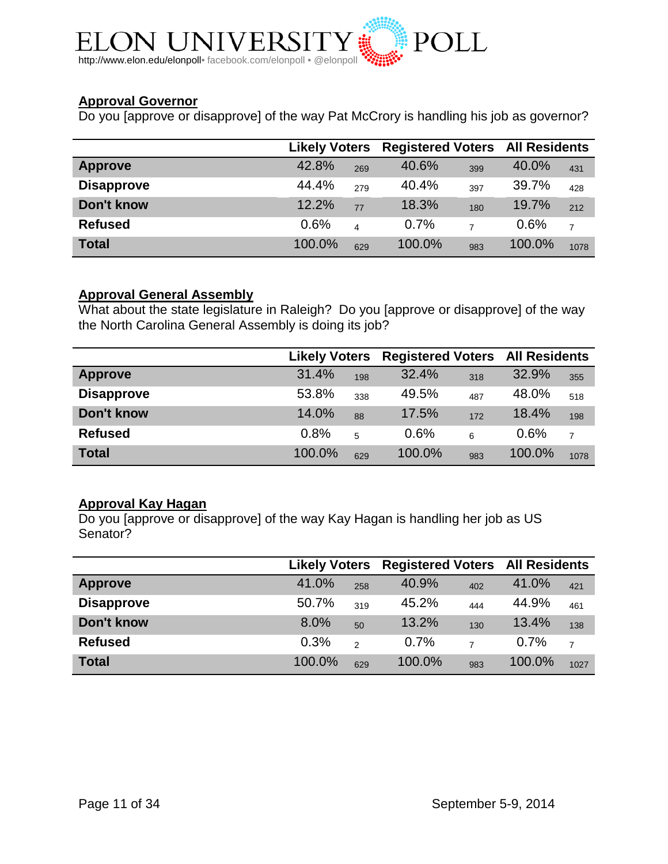

## **Approval Governor**

Do you [approve or disapprove] of the way Pat McCrory is handling his job as governor?

|                   | <b>Likely Voters</b> |     | <b>Registered Voters All Residents</b> |                |        |      |
|-------------------|----------------------|-----|----------------------------------------|----------------|--------|------|
| <b>Approve</b>    | 42.8%                | 269 | 40.6%                                  | 399            | 40.0%  | 431  |
| <b>Disapprove</b> | 44.4%                | 279 | 40.4%                                  | 397            | 39.7%  | 428  |
| Don't know        | 12.2%                | 77  | 18.3%                                  | 180            | 19.7%  | 212  |
| <b>Refused</b>    | 0.6%                 | 4   | 0.7%                                   | $\overline{7}$ | 0.6%   | 7    |
| <b>Total</b>      | 100.0%               | 629 | 100.0%                                 | 983            | 100.0% | 1078 |

## **Approval General Assembly**

What about the state legislature in Raleigh? Do you [approve or disapprove] of the way the North Carolina General Assembly is doing its job?

|                   | <b>Likely Voters</b> |     | <b>Registered Voters All Residents</b> |     |        |      |
|-------------------|----------------------|-----|----------------------------------------|-----|--------|------|
| <b>Approve</b>    | 31.4%                | 198 | 32.4%                                  | 318 | 32.9%  | 355  |
| <b>Disapprove</b> | 53.8%                | 338 | 49.5%                                  | 487 | 48.0%  | 518  |
| Don't know        | 14.0%                | 88  | 17.5%                                  | 172 | 18.4%  | 198  |
| <b>Refused</b>    | 0.8%                 | 5   | 0.6%                                   | 6   | 0.6%   | 7    |
| <b>Total</b>      | 100.0%               | 629 | 100.0%                                 | 983 | 100.0% | 1078 |

#### **Approval Kay Hagan**

Do you [approve or disapprove] of the way Kay Hagan is handling her job as US Senator?

|                   | <b>Likely Voters</b> |     | <b>Registered Voters All Residents</b> |                |        |      |
|-------------------|----------------------|-----|----------------------------------------|----------------|--------|------|
| <b>Approve</b>    | 41.0%                | 258 | 40.9%                                  | 402            | 41.0%  | 421  |
| <b>Disapprove</b> | 50.7%                | 319 | 45.2%                                  | 444            | 44.9%  | 461  |
| Don't know        | 8.0%                 | 50  | 13.2%                                  | 130            | 13.4%  | 138  |
| <b>Refused</b>    | 0.3%                 | 2   | 0.7%                                   | $\overline{ }$ | 0.7%   | 7    |
| <b>Total</b>      | 100.0%               | 629 | 100.0%                                 | 983            | 100.0% | 1027 |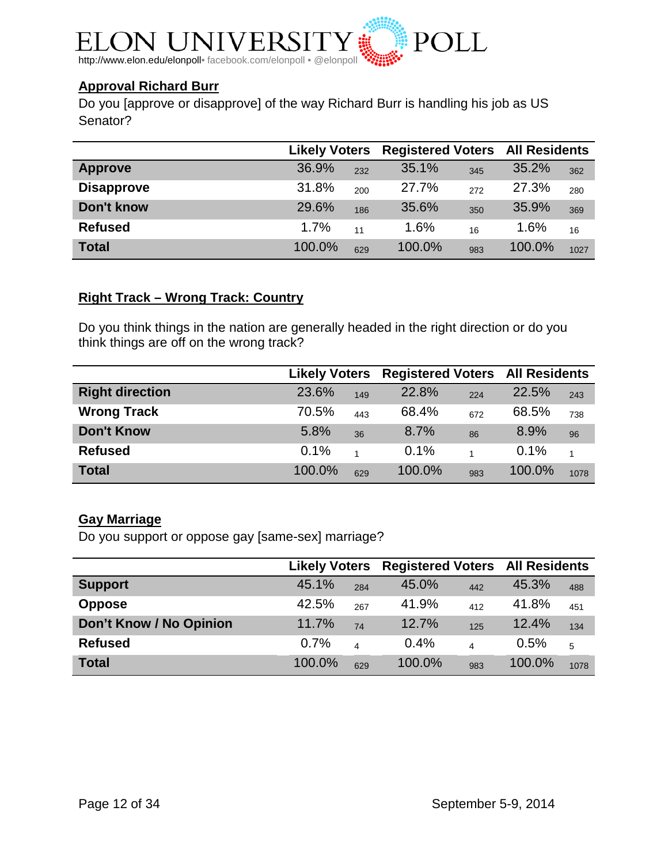

## **Approval Richard Burr**

Do you [approve or disapprove] of the way Richard Burr is handling his job as US Senator?

|                   | <b>Likely Voters</b> |     | <b>Registered Voters All Residents</b> |     |        |      |
|-------------------|----------------------|-----|----------------------------------------|-----|--------|------|
| <b>Approve</b>    | 36.9%                | 232 | 35.1%                                  | 345 | 35.2%  | 362  |
| <b>Disapprove</b> | 31.8%                | 200 | 27.7%                                  | 272 | 27.3%  | 280  |
| Don't know        | 29.6%                | 186 | 35.6%                                  | 350 | 35.9%  | 369  |
| <b>Refused</b>    | 1.7%                 | 11  | 1.6%                                   | 16  | 1.6%   | 16   |
| <b>Total</b>      | 100.0%               | 629 | 100.0%                                 | 983 | 100.0% | 1027 |

#### **Right Track – Wrong Track: Country**

Do you think things in the nation are generally headed in the right direction or do you think things are off on the wrong track?

|                        | <b>Likely Voters</b> |     | <b>Registered Voters All Residents</b> |     |        |      |
|------------------------|----------------------|-----|----------------------------------------|-----|--------|------|
| <b>Right direction</b> | 23.6%                | 149 | 22.8%                                  | 224 | 22.5%  | 243  |
| <b>Wrong Track</b>     | 70.5%                | 443 | 68.4%                                  | 672 | 68.5%  | 738  |
| <b>Don't Know</b>      | 5.8%                 | 36  | 8.7%                                   | 86  | 8.9%   | 96   |
| <b>Refused</b>         | 0.1%                 |     | 0.1%                                   |     | 0.1%   |      |
| <b>Total</b>           | 100.0%               | 629 | 100.0%                                 | 983 | 100.0% | 1078 |

#### **Gay Marriage**

Do you support or oppose gay [same-sex] marriage?

|                         | <b>Likely Voters</b> |                | <b>Registered Voters All Residents</b> |     |        |      |
|-------------------------|----------------------|----------------|----------------------------------------|-----|--------|------|
| <b>Support</b>          | 45.1%                | 284            | 45.0%                                  | 442 | 45.3%  | 488  |
| <b>Oppose</b>           | 42.5%                | 267            | 41.9%                                  | 412 | 41.8%  | 451  |
| Don't Know / No Opinion | 11.7%                | 74             | 12.7%                                  | 125 | 12.4%  | 134  |
| <b>Refused</b>          | 0.7%                 | $\overline{4}$ | $0.4\%$                                | 4   | 0.5%   | 5    |
| <b>Total</b>            | 100.0%               | 629            | 100.0%                                 | 983 | 100.0% | 1078 |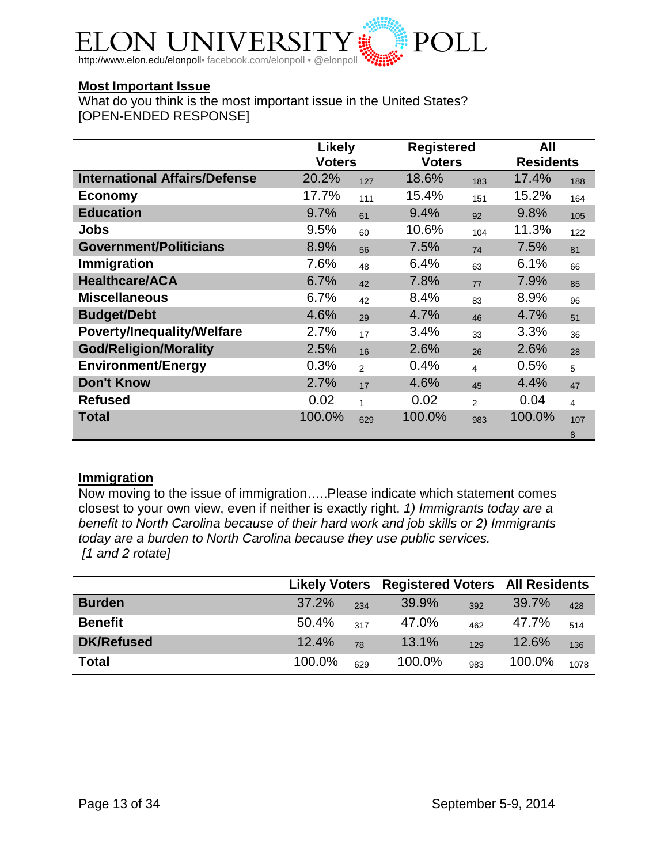

#### **Most Important Issue**

What do you think is the most important issue in the United States? [OPEN-ENDED RESPONSE]

|                                      | <b>Likely</b> |                |               | <b>Registered</b> |                  |     |
|--------------------------------------|---------------|----------------|---------------|-------------------|------------------|-----|
|                                      | <b>Voters</b> |                | <b>Voters</b> |                   | <b>Residents</b> |     |
| <b>International Affairs/Defense</b> | 20.2%         | 127            | 18.6%         | 183               | 17.4%            | 188 |
| <b>Economy</b>                       | 17.7%         | 111            | 15.4%         | 151               | 15.2%            | 164 |
| <b>Education</b>                     | 9.7%          | 61             | 9.4%          | 92                | 9.8%             | 105 |
| <b>Jobs</b>                          | 9.5%          | 60             | 10.6%         | 104               | 11.3%            | 122 |
| <b>Government/Politicians</b>        | 8.9%          | 56             | 7.5%          | 74                | 7.5%             | 81  |
| Immigration                          | 7.6%          | 48             | 6.4%          | 63                | 6.1%             | 66  |
| <b>Healthcare/ACA</b>                | 6.7%          | 42             | 7.8%          | 77                | 7.9%             | 85  |
| <b>Miscellaneous</b>                 | 6.7%          | 42             | 8.4%          | 83                | 8.9%             | 96  |
| <b>Budget/Debt</b>                   | 4.6%          | 29             | 4.7%          | 46                | 4.7%             | 51  |
| <b>Poverty/Inequality/Welfare</b>    | 2.7%          | 17             | 3.4%          | 33                | 3.3%             | 36  |
| <b>God/Religion/Morality</b>         | 2.5%          | 16             | 2.6%          | 26                | 2.6%             | 28  |
| <b>Environment/Energy</b>            | 0.3%          | $\mathfrak{p}$ | 0.4%          | $\overline{4}$    | 0.5%             | 5   |
| <b>Don't Know</b>                    | 2.7%          | 17             | 4.6%          | 45                | 4.4%             | 47  |
| <b>Refused</b>                       | 0.02          | $\mathbf{1}$   | 0.02          | $\overline{2}$    | 0.04             | 4   |
| <b>Total</b>                         | 100.0%        | 629            | 100.0%        | 983               | 100.0%           | 107 |
|                                      |               |                |               |                   |                  | 8   |

#### **Immigration**

Now moving to the issue of immigration…..Please indicate which statement comes closest to your own view, even if neither is exactly right. *1) Immigrants today are a benefit to North Carolina because of their hard work and job skills or 2) Immigrants today are a burden to North Carolina because they use public services. [1 and 2 rotate]*

|                   |        |     | <b>Likely Voters Registered Voters All Residents</b> |     |        |      |
|-------------------|--------|-----|------------------------------------------------------|-----|--------|------|
| <b>Burden</b>     | 37.2%  | 234 | 39.9%                                                | 392 | 39.7%  | 428  |
| <b>Benefit</b>    | 50.4%  | 317 | 47.0%                                                | 462 | 47.7%  | 514  |
| <b>DK/Refused</b> | 12.4%  | 78  | 13.1%                                                | 129 | 12.6%  | 136  |
| <b>Total</b>      | 100.0% | 629 | 100.0%                                               | 983 | 100.0% | 1078 |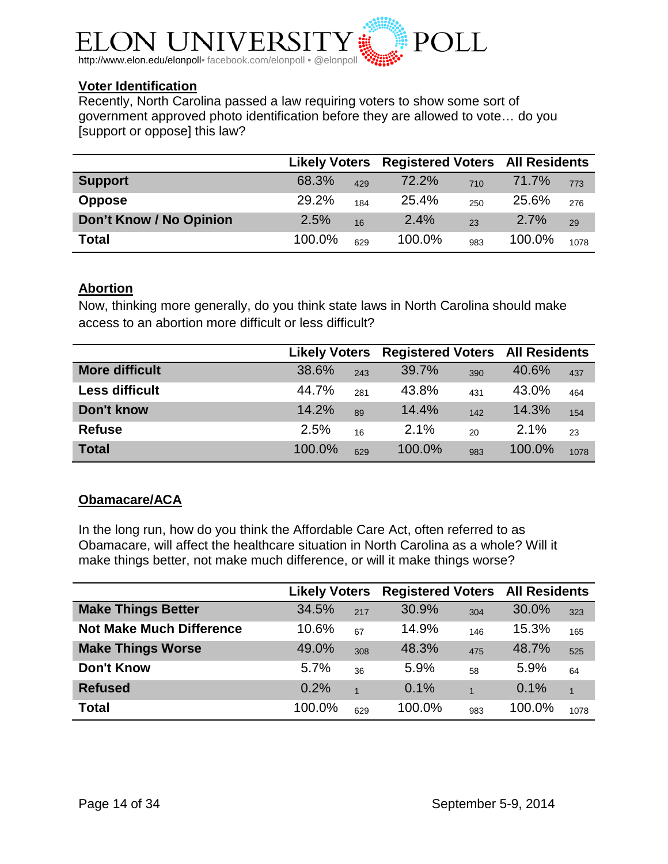

#### **Voter Identification**

Recently, North Carolina passed a law requiring voters to show some sort of government approved photo identification before they are allowed to vote… do you [support or oppose] this law?

|                         |        |     | <b>Likely Voters Registered Voters All Residents</b> |     |        |      |
|-------------------------|--------|-----|------------------------------------------------------|-----|--------|------|
| <b>Support</b>          | 68.3%  | 429 | 72.2%                                                | 710 | 71.7%  | 773  |
| <b>Oppose</b>           | 29.2%  | 184 | 25.4%                                                | 250 | 25.6%  | 276  |
| Don't Know / No Opinion | 2.5%   | 16  | 2.4%                                                 | 23  | 2.7%   | 29   |
| <b>Total</b>            | 100.0% | 629 | 100.0%                                               | 983 | 100.0% | 1078 |

#### **Abortion**

Now, thinking more generally, do you think state laws in North Carolina should make access to an abortion more difficult or less difficult?

|                       | <b>Likely Voters</b> |     | <b>Registered Voters All Residents</b> |     |        |      |
|-----------------------|----------------------|-----|----------------------------------------|-----|--------|------|
| <b>More difficult</b> | 38.6%                | 243 | 39.7%                                  | 390 | 40.6%  | 437  |
| <b>Less difficult</b> | 44.7%                | 281 | 43.8%                                  | 431 | 43.0%  | 464  |
| Don't know            | 14.2%                | 89  | 14.4%                                  | 142 | 14.3%  | 154  |
| <b>Refuse</b>         | 2.5%                 | 16  | $2.1\%$                                | 20  | 2.1%   | 23   |
| <b>Total</b>          | 100.0%               | 629 | 100.0%                                 | 983 | 100.0% | 1078 |

#### **Obamacare/ACA**

In the long run, how do you think the Affordable Care Act, often referred to as Obamacare, will affect the healthcare situation in North Carolina as a whole? Will it make things better, not make much difference, or will it make things worse?

|                                 | <b>Likely Voters</b> |                | <b>Registered Voters All Residents</b> |                |        |                |
|---------------------------------|----------------------|----------------|----------------------------------------|----------------|--------|----------------|
| <b>Make Things Better</b>       | 34.5%                | 217            | 30.9%                                  | 304            | 30.0%  | 323            |
| <b>Not Make Much Difference</b> | 10.6%                | 67             | 14.9%                                  | 146            | 15.3%  | 165            |
| <b>Make Things Worse</b>        | 49.0%                | 308            | 48.3%                                  | 475            | 48.7%  | 525            |
| <b>Don't Know</b>               | 5.7%                 | 36             | 5.9%                                   | 58             | 5.9%   | 64             |
| <b>Refused</b>                  | 0.2%                 | $\overline{1}$ | 0.1%                                   | $\overline{1}$ | 0.1%   | $\overline{1}$ |
| <b>Total</b>                    | 100.0%               | 629            | 100.0%                                 | 983            | 100.0% | 1078           |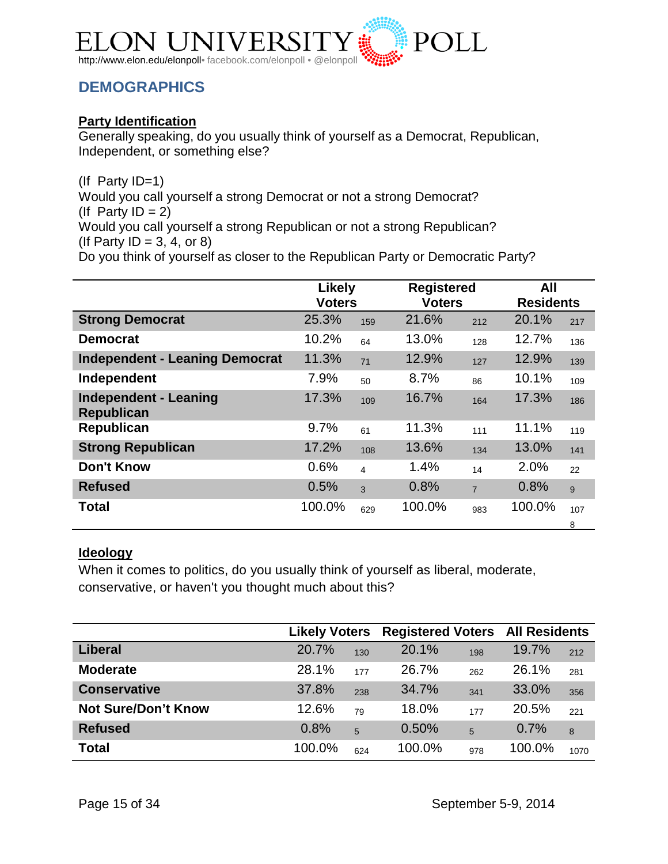

## <span id="page-14-0"></span>**DEMOGRAPHICS**

## **Party Identification**

Generally speaking, do you usually think of yourself as a Democrat, Republican, Independent, or something else?

(If Party ID=1)

Would you call yourself a strong Democrat or not a strong Democrat? (If Party  $ID = 2$ )

Would you call yourself a strong Republican or not a strong Republican? (If Party  $ID = 3, 4, or 8$ )

Do you think of yourself as closer to the Republican Party or Democratic Party?

|                                                   | Likely<br><b>Voters</b> |                         |        | <b>Registered</b><br><b>Voters</b> |        | <b>Residents</b> |
|---------------------------------------------------|-------------------------|-------------------------|--------|------------------------------------|--------|------------------|
| <b>Strong Democrat</b>                            | 25.3%                   | 159                     | 21.6%  | 212                                | 20.1%  | 217              |
| <b>Democrat</b>                                   | 10.2%                   | 64                      | 13.0%  | 128                                | 12.7%  | 136              |
| <b>Independent - Leaning Democrat</b>             | 11.3%                   | 71                      | 12.9%  | 127                                | 12.9%  | 139              |
| Independent                                       | 7.9%                    | 50                      | 8.7%   | 86                                 | 10.1%  | 109              |
| <b>Independent - Leaning</b><br><b>Republican</b> | 17.3%                   | 109                     | 16.7%  | 164                                | 17.3%  | 186              |
| Republican                                        | 9.7%                    | 61                      | 11.3%  | 111                                | 11.1%  | 119              |
| <b>Strong Republican</b>                          | 17.2%                   | 108                     | 13.6%  | 134                                | 13.0%  | 141              |
| <b>Don't Know</b>                                 | 0.6%                    | $\overline{\mathbf{4}}$ | 1.4%   | 14                                 | 2.0%   | 22               |
| <b>Refused</b>                                    | 0.5%                    | $\overline{3}$          | 0.8%   | $\overline{7}$                     | 0.8%   | 9                |
| <b>Total</b>                                      | 100.0%                  | 629                     | 100.0% | 983                                | 100.0% | 107<br>8         |

#### **Ideology**

When it comes to politics, do you usually think of yourself as liberal, moderate, conservative, or haven't you thought much about this?

|                            | <b>Likely Voters</b> |     | <b>Registered Voters All Residents</b> |     |        |      |
|----------------------------|----------------------|-----|----------------------------------------|-----|--------|------|
| <b>Liberal</b>             | 20.7%                | 130 | 20.1%                                  | 198 | 19.7%  | 212  |
| <b>Moderate</b>            | 28.1%                | 177 | 26.7%                                  | 262 | 26.1%  | 281  |
| <b>Conservative</b>        | 37.8%                | 238 | 34.7%                                  | 341 | 33.0%  | 356  |
| <b>Not Sure/Don't Know</b> | 12.6%                | 79  | 18.0%                                  | 177 | 20.5%  | 221  |
| <b>Refused</b>             | 0.8%                 | 5   | 0.50%                                  | 5   | 0.7%   | 8    |
| <b>Total</b>               | 100.0%               | 624 | 100.0%                                 | 978 | 100.0% | 1070 |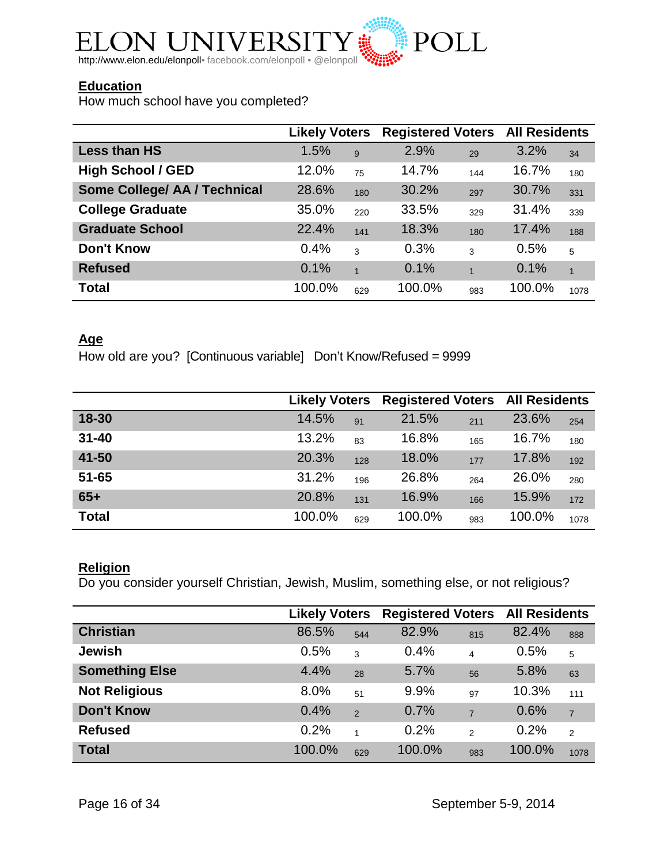

## **Education**

How much school have you completed?

|                              | <b>Likely Voters</b> |                | <b>Registered Voters All Residents</b> |     |        |              |
|------------------------------|----------------------|----------------|----------------------------------------|-----|--------|--------------|
| <b>Less than HS</b>          | 1.5%                 | 9              | 2.9%                                   | 29  | 3.2%   | 34           |
| <b>High School / GED</b>     | 12.0%                | 75             | 14.7%                                  | 144 | 16.7%  | 180          |
| Some College/ AA / Technical | 28.6%                | 180            | 30.2%                                  | 297 | 30.7%  | 331          |
| <b>College Graduate</b>      | 35.0%                | 220            | 33.5%                                  | 329 | 31.4%  | 339          |
| <b>Graduate School</b>       | 22.4%                | 141            | 18.3%                                  | 180 | 17.4%  | 188          |
| <b>Don't Know</b>            | 0.4%                 | 3              | 0.3%                                   | 3   | 0.5%   | 5            |
| <b>Refused</b>               | 0.1%                 | $\overline{1}$ | 0.1%                                   |     | 0.1%   | $\mathbf{1}$ |
| <b>Total</b>                 | 100.0%               | 629            | 100.0%                                 | 983 | 100.0% | 1078         |

## **Age**

How old are you? [Continuous variable] Don't Know/Refused = 9999

|              | <b>Likely Voters</b> |     | <b>Registered Voters All Residents</b> |     |        |      |
|--------------|----------------------|-----|----------------------------------------|-----|--------|------|
| 18-30        | 14.5%                | 91  | 21.5%                                  | 211 | 23.6%  | 254  |
| $31 - 40$    | 13.2%                | 83  | 16.8%                                  | 165 | 16.7%  | 180  |
| 41-50        | 20.3%                | 128 | 18.0%                                  | 177 | 17.8%  | 192  |
| $51 - 65$    | 31.2%                | 196 | 26.8%                                  | 264 | 26.0%  | 280  |
| $65+$        | 20.8%                | 131 | 16.9%                                  | 166 | 15.9%  | 172  |
| <b>Total</b> | 100.0%               | 629 | 100.0%                                 | 983 | 100.0% | 1078 |

### **Religion**

Do you consider yourself Christian, Jewish, Muslim, something else, or not religious?

|                       | <b>Likely Voters</b> |               | <b>Registered Voters All Residents</b> |                         |        |                |
|-----------------------|----------------------|---------------|----------------------------------------|-------------------------|--------|----------------|
| <b>Christian</b>      | 86.5%                | 544           | 82.9%                                  | 815                     | 82.4%  | 888            |
| <b>Jewish</b>         | 0.5%                 | 3             | 0.4%                                   | $\overline{\mathbf{4}}$ | 0.5%   | 5              |
| <b>Something Else</b> | 4.4%                 | 28            | 5.7%                                   | 56                      | 5.8%   | 63             |
| <b>Not Religious</b>  | 8.0%                 | 51            | 9.9%                                   | 97                      | 10.3%  | 111            |
| <b>Don't Know</b>     | 0.4%                 | $\mathcal{P}$ | 0.7%                                   | $\overline{7}$          | 0.6%   | $\overline{7}$ |
| <b>Refused</b>        | 0.2%                 | 1             | 0.2%                                   | $\mathfrak{p}$          | 0.2%   | $\overline{2}$ |
| <b>Total</b>          | 100.0%               | 629           | 100.0%                                 | 983                     | 100.0% | 1078           |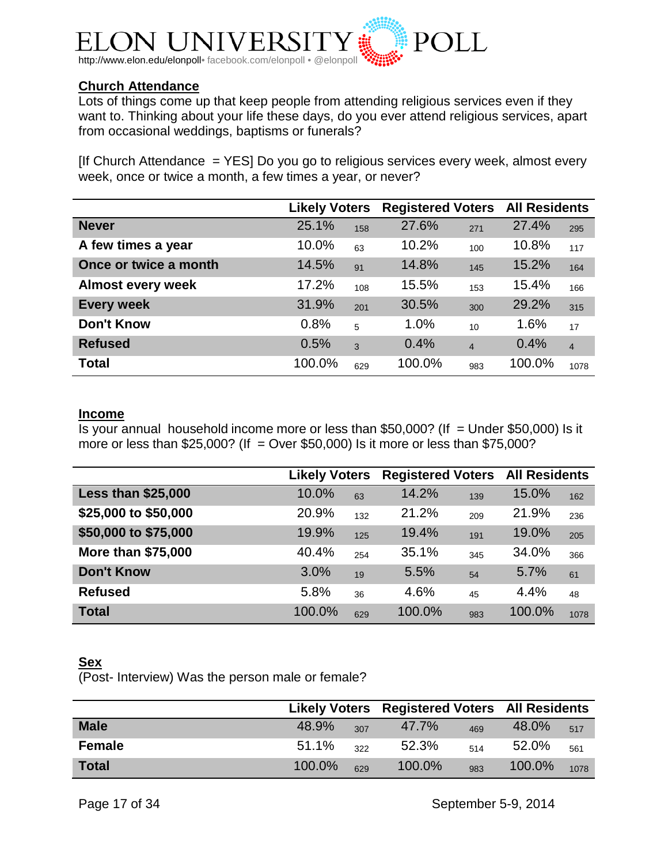

#### **Church Attendance**

Lots of things come up that keep people from attending religious services even if they want to. Thinking about your life these days, do you ever attend religious services, apart from occasional weddings, baptisms or funerals?

[If Church Attendance  $=$  YES] Do you go to religious services every week, almost every week, once or twice a month, a few times a year, or never?

|                          | <b>Likely Voters</b> |     | <b>Registered Voters All Residents</b> |                |        |                |
|--------------------------|----------------------|-----|----------------------------------------|----------------|--------|----------------|
| <b>Never</b>             | 25.1%                | 158 | 27.6%                                  | 271            | 27.4%  | 295            |
| A few times a year       | 10.0%                | 63  | 10.2%                                  | 100            | 10.8%  | 117            |
| Once or twice a month    | 14.5%                | 91  | 14.8%                                  | 145            | 15.2%  | 164            |
| <b>Almost every week</b> | 17.2%                | 108 | 15.5%                                  | 153            | 15.4%  | 166            |
| <b>Every week</b>        | 31.9%                | 201 | 30.5%                                  | 300            | 29.2%  | 315            |
| <b>Don't Know</b>        | 0.8%                 | 5   | 1.0%                                   | 10             | 1.6%   | 17             |
| <b>Refused</b>           | 0.5%                 | 3   | 0.4%                                   | $\overline{4}$ | 0.4%   | $\overline{4}$ |
| <b>Total</b>             | 100.0%               | 629 | 100.0%                                 | 983            | 100.0% | 1078           |

#### **Income**

Is your annual household income more or less than \$50,000? (If  $=$  Under \$50,000) Is it more or less than  $$25,000$ ? (If = Over  $$50,000$ ) Is it more or less than  $$75,000$ ?

|                           | <b>Likely Voters</b> |     |        | <b>Registered Voters All Residents</b> |        |      |
|---------------------------|----------------------|-----|--------|----------------------------------------|--------|------|
| <b>Less than \$25,000</b> | 10.0%                | 63  | 14.2%  | 139                                    | 15.0%  | 162  |
| \$25,000 to \$50,000      | 20.9%                | 132 | 21.2%  | 209                                    | 21.9%  | 236  |
| \$50,000 to \$75,000      | 19.9%                | 125 | 19.4%  | 191                                    | 19.0%  | 205  |
| <b>More than \$75,000</b> | 40.4%                | 254 | 35.1%  | 345                                    | 34.0%  | 366  |
| <b>Don't Know</b>         | 3.0%                 | 19  | 5.5%   | 54                                     | 5.7%   | 61   |
| <b>Refused</b>            | 5.8%                 | 36  | 4.6%   | 45                                     | 4.4%   | 48   |
| <b>Total</b>              | 100.0%               | 629 | 100.0% | 983                                    | 100.0% | 1078 |

#### **Sex**

(Post- Interview) Was the person male or female?

|               |        |     | Likely Voters Registered Voters All Residents |     |        |      |
|---------------|--------|-----|-----------------------------------------------|-----|--------|------|
| <b>Male</b>   | 48.9%  | 307 | 47.7%                                         | 469 | 48.0%  | 517  |
| <b>Female</b> | 51.1%  | 322 | 52.3%                                         | 514 | 52.0%  | 561  |
| <b>Total</b>  | 100.0% | 629 | 100.0%                                        | 983 | 100.0% | 1078 |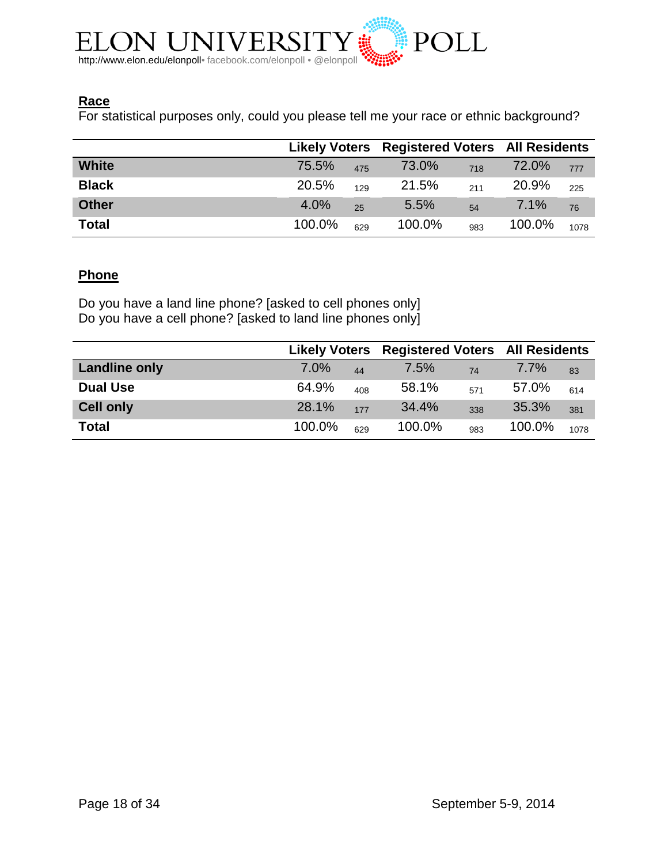

## **Race**

For statistical purposes only, could you please tell me your race or ethnic background?

|              | Likely Voters Registered Voters All Residents |     |        |     |        |      |
|--------------|-----------------------------------------------|-----|--------|-----|--------|------|
| <b>White</b> | 75.5%                                         | 475 | 73.0%  | 718 | 72.0%  | 777  |
| <b>Black</b> | 20.5%                                         | 129 | 21.5%  | 211 | 20.9%  | 225  |
| <b>Other</b> | 4.0%                                          | 25  | 5.5%   | 54  | 7.1%   | 76   |
| <b>Total</b> | 100.0%                                        | 629 | 100.0% | 983 | 100.0% | 1078 |

#### **Phone**

Do you have a land line phone? [asked to cell phones only] Do you have a cell phone? [asked to land line phones only]

|                      |        |     |        |     | Likely Voters Registered Voters All Residents |      |
|----------------------|--------|-----|--------|-----|-----------------------------------------------|------|
| <b>Landline only</b> | 7.0%   | 44  | 7.5%   | 74  | 7.7%                                          | 83   |
| <b>Dual Use</b>      | 64.9%  | 408 | 58.1%  | 571 | 57.0%                                         | 614  |
| <b>Cell only</b>     | 28.1%  | 177 | 34.4%  | 338 | 35.3%                                         | 381  |
| <b>Total</b>         | 100.0% | 629 | 100.0% | 983 | 100.0%                                        | 1078 |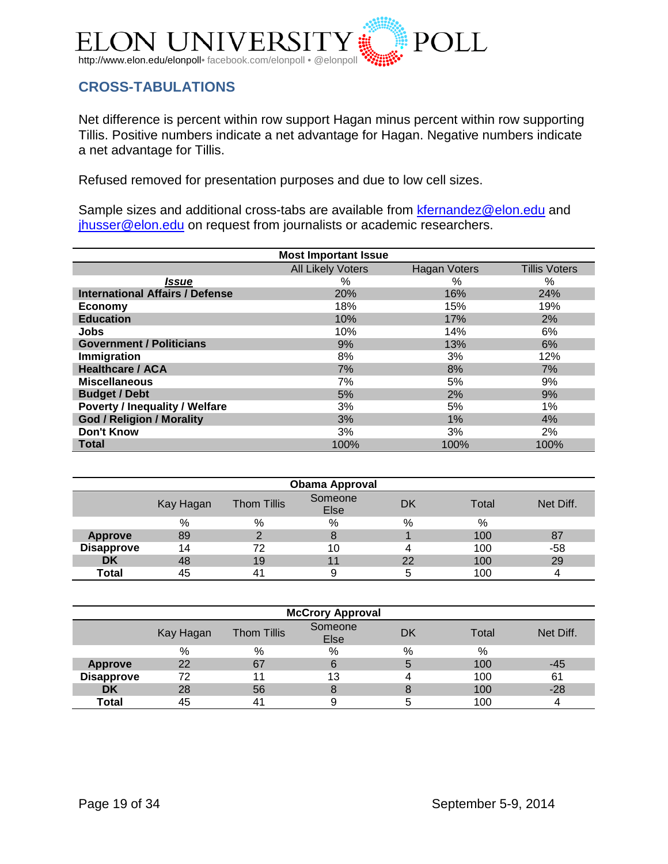

## <span id="page-18-0"></span>**CROSS-TABULATIONS**

Net difference is percent within row support Hagan minus percent within row supporting Tillis. Positive numbers indicate a net advantage for Hagan. Negative numbers indicate a net advantage for Tillis.

Refused removed for presentation purposes and due to low cell sizes.

Sample sizes and additional cross-tabs are available from [kfernandez@elon.edu](mailto:kfernandez@elon.edu) and [jhusser@elon.edu](mailto:jhusser@elon.edu) on request from journalists or academic researchers.

|                                        | <b>Most Important Issue</b> |              |                      |
|----------------------------------------|-----------------------------|--------------|----------------------|
|                                        | <b>All Likely Voters</b>    | Hagan Voters | <b>Tillis Voters</b> |
| <i><b>Issue</b></i>                    | $\%$                        | $\%$         | $\%$                 |
| <b>International Affairs / Defense</b> | 20%                         | 16%          | 24%                  |
| Economy                                | 18%                         | 15%          | 19%                  |
| <b>Education</b>                       | 10%                         | 17%          | 2%                   |
| <b>Jobs</b>                            | 10%                         | 14%          | 6%                   |
| <b>Government / Politicians</b>        | 9%                          | 13%          | 6%                   |
| Immigration                            | 8%                          | 3%           | 12%                  |
| <b>Healthcare / ACA</b>                | 7%                          | 8%           | 7%                   |
| <b>Miscellaneous</b>                   | 7%                          | 5%           | 9%                   |
| <b>Budget / Debt</b>                   | 5%                          | 2%           | 9%                   |
| <b>Poverty / Inequality / Welfare</b>  | 3%                          | 5%           | 1%                   |
| <b>God / Religion / Morality</b>       | 3%                          | 1%           | 4%                   |
| <b>Don't Know</b>                      | 3%                          | 3%           | 2%                   |
| <b>Total</b>                           | 100%                        | 100%         | 100%                 |

| <b>Obama Approval</b> |           |                    |                 |    |       |           |  |  |
|-----------------------|-----------|--------------------|-----------------|----|-------|-----------|--|--|
|                       | Kay Hagan | <b>Thom Tillis</b> | Someone<br>Else | DK | Total | Net Diff. |  |  |
|                       | %         | %                  | %               | %  | %     |           |  |  |
| <b>Approve</b>        | 89        |                    |                 |    | 100   | 87        |  |  |
| <b>Disapprove</b>     | 14        | 72                 | 10              |    | 100   | -58       |  |  |
| <b>DK</b>             | 48        | 19                 |                 | 22 | 100   | 29        |  |  |
| Total                 | 45        | 4'                 |                 | b  | 100   |           |  |  |

| <b>McCrory Approval</b> |           |                    |                 |    |       |           |  |  |
|-------------------------|-----------|--------------------|-----------------|----|-------|-----------|--|--|
|                         | Kay Hagan | <b>Thom Tillis</b> | Someone<br>Else | DK | Total | Net Diff. |  |  |
|                         | %         | %                  | %               | %  | %     |           |  |  |
| <b>Approve</b>          | 22        | 67                 | 6               | 5  | 100   | -45       |  |  |
| <b>Disapprove</b>       | 72        |                    | 13              |    | 100   | 61        |  |  |
| <b>DK</b>               | 28        | 56                 |                 | 8  | 100   | -28       |  |  |
| <b>Total</b>            | 45        | $4^{\prime}$       |                 | b  | 100   |           |  |  |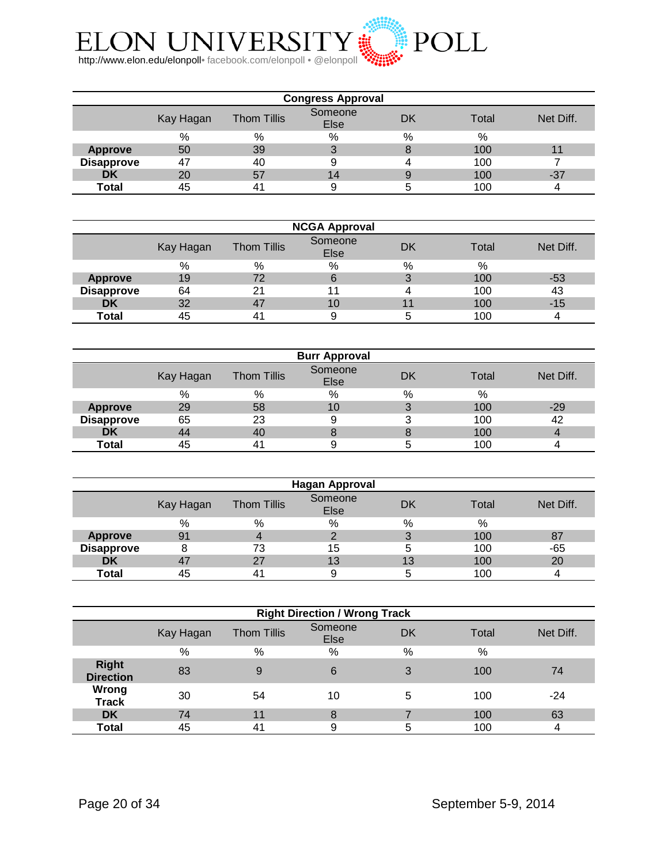

| <b>Congress Approval</b> |           |                    |                 |    |       |           |  |
|--------------------------|-----------|--------------------|-----------------|----|-------|-----------|--|
|                          | Kay Hagan | <b>Thom Tillis</b> | Someone<br>Else | DK | Total | Net Diff. |  |
|                          | %         | %                  | %               | %  | %     |           |  |
| <b>Approve</b>           | 50        | 39                 |                 | 8  | 100   |           |  |
| <b>Disapprove</b>        | 47        | 40                 |                 |    | 100   |           |  |
| DK                       | 20        | 57                 | 14              | 9  | 100   | -37       |  |
| Total                    | 45        | 41                 |                 |    | 100   |           |  |

| <b>NCGA Approval</b> |           |                    |                 |    |       |           |  |  |
|----------------------|-----------|--------------------|-----------------|----|-------|-----------|--|--|
|                      | Kay Hagan | <b>Thom Tillis</b> | Someone<br>Else | DK | Total | Net Diff. |  |  |
|                      | %         | %                  | %               | %  | %     |           |  |  |
| <b>Approve</b>       | 19        | 72                 |                 |    | 100   | -53       |  |  |
| <b>Disapprove</b>    | 64        | 21                 |                 |    | 100   | 43        |  |  |
| <b>DK</b>            | 32        | 47                 | 10              |    | 100   | $-15$     |  |  |
| Total                | 45        | 4 <sup>1</sup>     |                 |    | 100   |           |  |  |

|                   |           |                    | <b>Burr Approval</b> |    |       |           |
|-------------------|-----------|--------------------|----------------------|----|-------|-----------|
|                   | Kay Hagan | <b>Thom Tillis</b> | Someone<br>Else      | DK | Total | Net Diff. |
|                   | %         | %                  | %                    | %  | %     |           |
| <b>Approve</b>    | 29        | 58                 | 10                   | 3  | 100   | $-29$     |
| <b>Disapprove</b> | 65        | 23                 | 9                    | 3  | 100   | 42        |
| DK                | 44        | 40                 |                      | 8  | 100   |           |
| Total             | 45        | 41                 |                      | 5  | 100   |           |

| <b>Hagan Approval</b> |           |                    |                 |      |       |           |  |  |
|-----------------------|-----------|--------------------|-----------------|------|-------|-----------|--|--|
|                       | Kay Hagan | <b>Thom Tillis</b> | Someone<br>Else | DK   | Total | Net Diff. |  |  |
|                       | %         | %                  | %               | $\%$ | %     |           |  |  |
| <b>Approve</b>        | 91        | 4                  |                 | 3    | 100   | 87        |  |  |
| <b>Disapprove</b>     |           | 73                 | 15              | 5    | 100   | -65       |  |  |
| <b>DK</b>             | 47        | 27                 | 13              | 13   | 100   | 20        |  |  |
| Total                 | 45        | 4'                 |                 | b    | 100   |           |  |  |

| <b>Right Direction / Wrong Track</b> |           |                    |                 |           |       |           |  |
|--------------------------------------|-----------|--------------------|-----------------|-----------|-------|-----------|--|
|                                      | Kay Hagan | <b>Thom Tillis</b> | Someone<br>Else | <b>DK</b> | Total | Net Diff. |  |
|                                      | $\%$      | $\%$               | %               | $\%$      | $\%$  |           |  |
| <b>Right</b><br><b>Direction</b>     | 83        | 9                  | 6               | 3         | 100   | 74        |  |
| Wrong<br><b>Track</b>                | 30        | 54                 | 10              | 5         | 100   | $-24$     |  |
| <b>DK</b>                            | 74        | 11                 | 8               |           | 100   | 63        |  |
| Total                                | 45        | 41                 | 9               | 5         | 100   | 4         |  |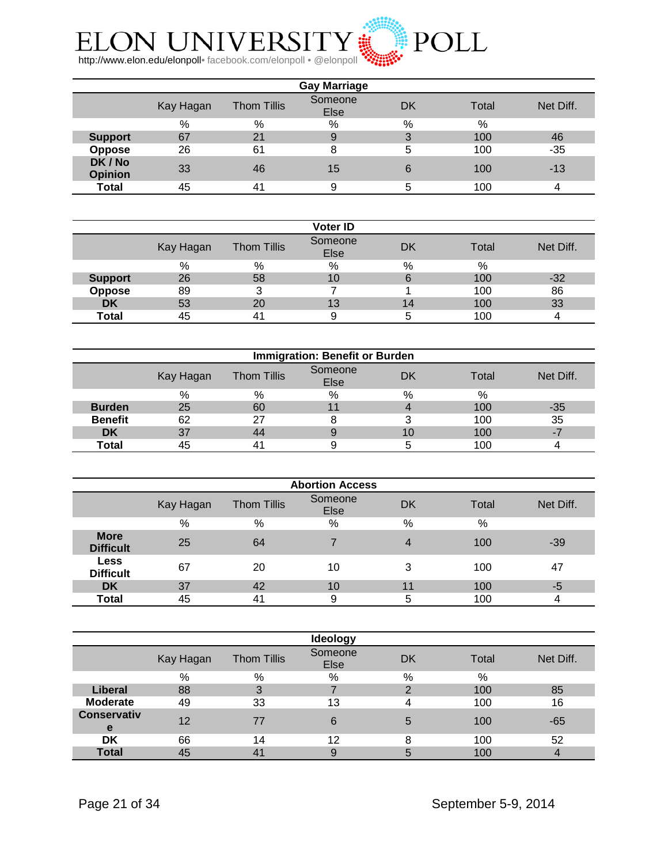

| <b>Gay Marriage</b>       |           |                    |                 |      |       |           |  |  |
|---------------------------|-----------|--------------------|-----------------|------|-------|-----------|--|--|
|                           | Kay Hagan | <b>Thom Tillis</b> | Someone<br>Else | DK   | Total | Net Diff. |  |  |
|                           | %         | %                  | %               | $\%$ | %     |           |  |  |
| <b>Support</b>            | 67        | 21                 | 9               | 3    | 100   | 46        |  |  |
| Oppose                    | 26        | 61                 | 8               | 5    | 100   | $-35$     |  |  |
| DK / No<br><b>Opinion</b> | 33        | 46                 | 15              | 6    | 100   | $-13$     |  |  |
| Total                     | 45        | 41                 | a               | 5    | 100   |           |  |  |

|                |           |                    | <b>Voter ID</b> |      |       |           |
|----------------|-----------|--------------------|-----------------|------|-------|-----------|
|                | Kay Hagan | <b>Thom Tillis</b> | Someone<br>Else | DK   | Total | Net Diff. |
|                | %         | %                  | %               | $\%$ | %     |           |
| <b>Support</b> | 26        | 58                 | 10              | 6    | 100   | $-32$     |
| Oppose         | 89        | າ                  |                 |      | 100   | 86        |
| <b>DK</b>      | 53        | 20                 | 13              | 14   | 100   | 33        |
| Total          | 45        | 4 <sup>1</sup>     |                 |      | 100   |           |

| <b>Immigration: Benefit or Burden</b> |           |                    |                        |     |       |           |  |  |
|---------------------------------------|-----------|--------------------|------------------------|-----|-------|-----------|--|--|
|                                       | Kay Hagan | <b>Thom Tillis</b> | Someone<br><b>Else</b> | DK  | Total | Net Diff. |  |  |
|                                       | %         | %                  | %                      | %   | %     |           |  |  |
| <b>Burden</b>                         | 25        | 60                 |                        |     | 100   | -35       |  |  |
| <b>Benefit</b>                        | 62        | 27                 |                        |     | 100   | 35        |  |  |
| <b>DK</b>                             | 37        | 44                 |                        | 1 O | 100   |           |  |  |
| Total                                 | 45        | $4^{\prime}$       |                        |     | 100   |           |  |  |

| <b>Abortion Access</b>          |           |                    |                 |           |               |           |  |  |
|---------------------------------|-----------|--------------------|-----------------|-----------|---------------|-----------|--|--|
|                                 | Kay Hagan | <b>Thom Tillis</b> | Someone<br>Else | <b>DK</b> | Total         | Net Diff. |  |  |
|                                 | %         | %                  | %               | %         | $\frac{0}{0}$ |           |  |  |
| <b>More</b><br><b>Difficult</b> | 25        | 64                 |                 | 4         | 100           | $-39$     |  |  |
| <b>Less</b><br><b>Difficult</b> | 67        | 20                 | 10              | 3         | 100           | 47        |  |  |
| <b>DK</b>                       | 37        | 42                 | 10              | 11        | 100           | -5        |  |  |
| Total                           | 45        | 4 <sup>1</sup>     | 9               | 5         | 100           |           |  |  |

|                         |           |                    | <b>Ideology</b> |    |       |           |
|-------------------------|-----------|--------------------|-----------------|----|-------|-----------|
|                         | Kay Hagan | <b>Thom Tillis</b> | Someone<br>Else | DK | Total | Net Diff. |
|                         | %         | %                  | %               | %  | %     |           |
| <b>Liberal</b>          | 88        | 3                  |                 | ◠  | 100   | 85        |
| <b>Moderate</b>         | 49        | 33                 | 13              | 4  | 100   | 16        |
| <b>Conservativ</b><br>e | 12        | 77                 | 6               | 5  | 100   | -65       |
| DK                      | 66        | 14                 | 12              | 8  | 100   | 52        |
| <b>Total</b>            | 45        | 4 <sup>1</sup>     |                 | 5  | 100   |           |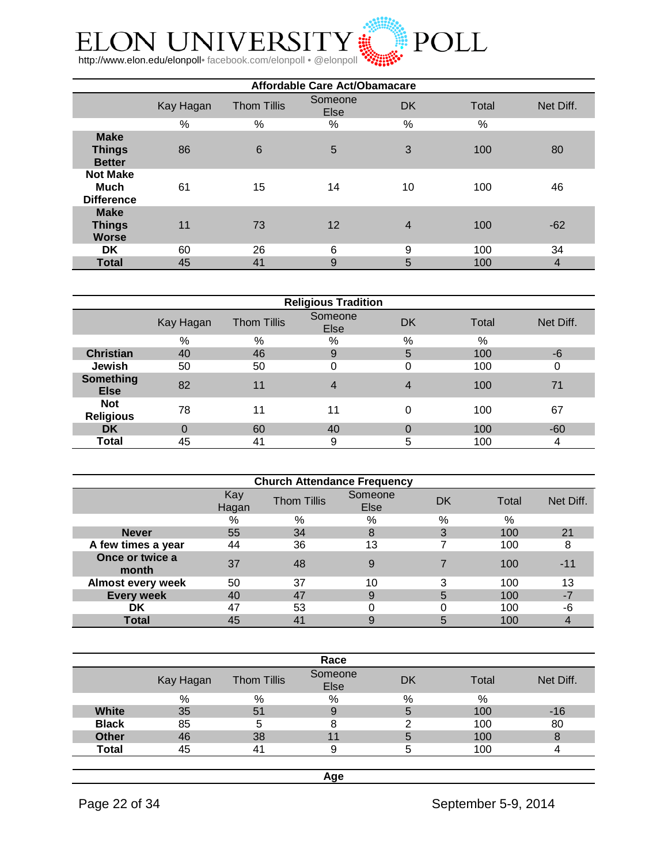

| Affordable Care Act/Obamacare                       |           |                    |                 |                |       |           |  |  |
|-----------------------------------------------------|-----------|--------------------|-----------------|----------------|-------|-----------|--|--|
|                                                     | Kay Hagan | <b>Thom Tillis</b> | Someone<br>Else | <b>DK</b>      | Total | Net Diff. |  |  |
|                                                     | %         | $\%$               | %               | $\%$           | %     |           |  |  |
| <b>Make</b><br><b>Things</b><br><b>Better</b>       | 86        | $6\phantom{1}6$    | 5               | 3              | 100   | 80        |  |  |
| <b>Not Make</b><br><b>Much</b><br><b>Difference</b> | 61        | 15                 | 14              | 10             | 100   | 46        |  |  |
| <b>Make</b><br><b>Things</b><br><b>Worse</b>        | 11        | 73                 | 12              | $\overline{4}$ | 100   | $-62$     |  |  |
| DK                                                  | 60        | 26                 | 6               | 9              | 100   | 34        |  |  |
| <b>Total</b>                                        | 45        | 41                 | 9               | 5              | 100   | 4         |  |  |

| <b>Religious Tradition</b>      |           |                    |                 |    |       |           |  |  |
|---------------------------------|-----------|--------------------|-----------------|----|-------|-----------|--|--|
|                                 | Kay Hagan | <b>Thom Tillis</b> | Someone<br>Else | DK | Total | Net Diff. |  |  |
|                                 | %         | %                  | %               | %  | %     |           |  |  |
| <b>Christian</b>                | 40        | 46                 | 9               | 5  | 100   | $-6$      |  |  |
| Jewish                          | 50        | 50                 |                 | 0  | 100   |           |  |  |
| <b>Something</b><br><b>Else</b> | 82        | 11                 | 4               | 4  | 100   | 71        |  |  |
| <b>Not</b><br><b>Religious</b>  | 78        | 11                 | 11              | 0  | 100   | 67        |  |  |
| <b>DK</b>                       | 0         | 60                 | 40              | 0  | 100   | $-60$     |  |  |
| Total                           | 45        | 41                 | 9               | 5  | 100   | 4         |  |  |

| <b>Church Attendance Frequency</b> |              |                    |                 |    |       |           |  |  |  |
|------------------------------------|--------------|--------------------|-----------------|----|-------|-----------|--|--|--|
|                                    | Kay<br>Hagan | <b>Thom Tillis</b> | Someone<br>Else | DK | Total | Net Diff. |  |  |  |
|                                    | %            | %                  | %               | %  | %     |           |  |  |  |
| <b>Never</b>                       | 55           | 34                 | 8               | 3  | 100   | 21        |  |  |  |
| A few times a year                 | 44           | 36                 | 13              |    | 100   | 8         |  |  |  |
| Once or twice a<br>month           | 37           | 48                 | 9               |    | 100   | -11       |  |  |  |
| <b>Almost every week</b>           | 50           | 37                 | 10              | 3  | 100   | 13        |  |  |  |
| <b>Every week</b>                  | 40           | 47                 | 9               | 5  | 100   | $-7$      |  |  |  |
| DK                                 | 47           | 53                 |                 |    | 100   | -6        |  |  |  |
| Total                              | 45           | 41                 |                 |    | 100   |           |  |  |  |

|              |           |                    | Race            |    |       |           |
|--------------|-----------|--------------------|-----------------|----|-------|-----------|
|              | Kay Hagan | <b>Thom Tillis</b> | Someone<br>Else | DK | Total | Net Diff. |
|              | %         | %                  | %               | %  | %     |           |
| White        | 35        | 51                 |                 | 5  | 100   | $-16$     |
| <b>Black</b> | 85        | 5                  |                 | ⌒  | 100   | 80        |
| <b>Other</b> | 46        | 38                 | 11              | 5  | 100   |           |
| <b>Total</b> | 45        | $4^{\prime}$       |                 | י. | 100   |           |
|              |           |                    |                 |    |       |           |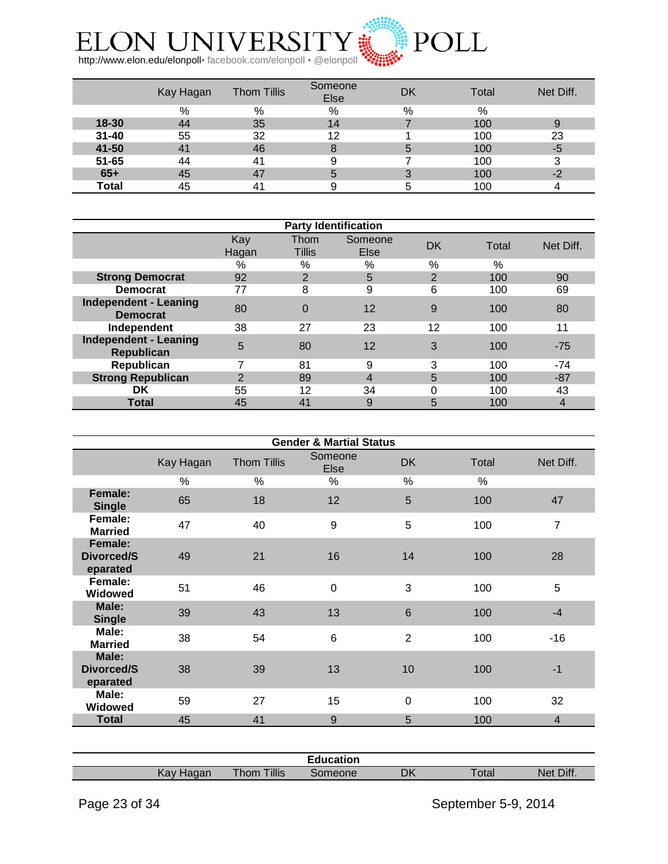

|           | Kay Hagan | <b>Thom Tillis</b> | Someone<br><b>Else</b> | DK | Total | Net Diff. |
|-----------|-----------|--------------------|------------------------|----|-------|-----------|
|           | %         | %                  | %                      | %  | %     |           |
| 18-30     | 44        | 35                 | 14                     |    | 100   |           |
| $31 - 40$ | 55        | 32                 | 12                     |    | 100   | 23        |
| 41-50     | 41        | 46                 |                        | b  | 100   | -5        |
| $51 - 65$ | 44        | 41                 |                        |    | 100   |           |
| $65+$     | 45        | 47                 |                        |    | 100   | $-2$      |
| Total     | 45        | 4 <sup>1</sup>     |                        |    | 100   |           |

|                                                   | <b>Party Identification</b> |                       |                 |                |       |                |  |  |  |  |
|---------------------------------------------------|-----------------------------|-----------------------|-----------------|----------------|-------|----------------|--|--|--|--|
|                                                   | Kay<br>Hagan                | Thom<br><b>Tillis</b> | Someone<br>Else | DK             | Total | Net Diff.      |  |  |  |  |
|                                                   | %                           | %                     | %               | $\%$           | $\%$  |                |  |  |  |  |
| <b>Strong Democrat</b>                            | 92                          | 2                     | 5               | $\overline{2}$ | 100   | 90             |  |  |  |  |
| <b>Democrat</b>                                   | 77                          | 8                     | 9               | 6              | 100   | 69             |  |  |  |  |
| <b>Independent - Leaning</b><br><b>Democrat</b>   | 80                          | 0                     | 12              | 9              | 100   | 80             |  |  |  |  |
| Independent                                       | 38                          | 27                    | 23              | 12             | 100   | 11             |  |  |  |  |
| <b>Independent - Leaning</b><br><b>Republican</b> | 5                           | 80                    | 12              | 3              | 100   | $-75$          |  |  |  |  |
| Republican                                        | 7                           | 81                    | 9               | 3              | 100   | $-74$          |  |  |  |  |
| <b>Strong Republican</b>                          | 2                           | 89                    | $\overline{4}$  | 5              | 100   | $-87$          |  |  |  |  |
| <b>DK</b>                                         | 55                          | 12                    | 34              | 0              | 100   | 43             |  |  |  |  |
| <b>Total</b>                                      | 45                          | 41                    | 9               | 5              | 100   | $\overline{4}$ |  |  |  |  |

| <b>Gender &amp; Martial Status</b> |           |                    |                 |                |       |                |  |  |
|------------------------------------|-----------|--------------------|-----------------|----------------|-------|----------------|--|--|
|                                    | Kay Hagan | <b>Thom Tillis</b> | Someone<br>Else | <b>DK</b>      | Total | Net Diff.      |  |  |
|                                    | %         | $\%$               | %               | %              | $\%$  |                |  |  |
| Female:<br><b>Single</b>           | 65        | 18                 | 12              | 5              | 100   | 47             |  |  |
| Female:<br><b>Married</b>          | 47        | 40                 | 9               | 5              | 100   | 7              |  |  |
| Female:<br>Divorced/S<br>eparated  | 49        | 21                 | 16              | 14             | 100   | 28             |  |  |
| Female:<br><b>Widowed</b>          | 51        | 46                 | $\overline{0}$  | 3              | 100   | 5              |  |  |
| Male:<br><b>Single</b>             | 39        | 43                 | 13              | $6\phantom{1}$ | 100   | $-4$           |  |  |
| Male:<br><b>Married</b>            | 38        | 54                 | 6               | $\overline{2}$ | 100   | -16            |  |  |
| Male:<br>Divorced/S<br>eparated    | 38        | 39                 | 13              | 10             | 100   | $-1$           |  |  |
| Male:<br>Widowed                   | 59        | 27                 | 15              | $\mathbf 0$    | 100   | 32             |  |  |
| <b>Total</b>                       | 45        | 41                 | 9               | 5              | 100   | $\overline{4}$ |  |  |

|                |                                           | Education |    |              |              |
|----------------|-------------------------------------------|-----------|----|--------------|--------------|
| Kav<br>idudi i | <b>Tillis</b><br><b>The County</b><br>hom | eone      | DK | <b>Total</b> | Diff.<br>Net |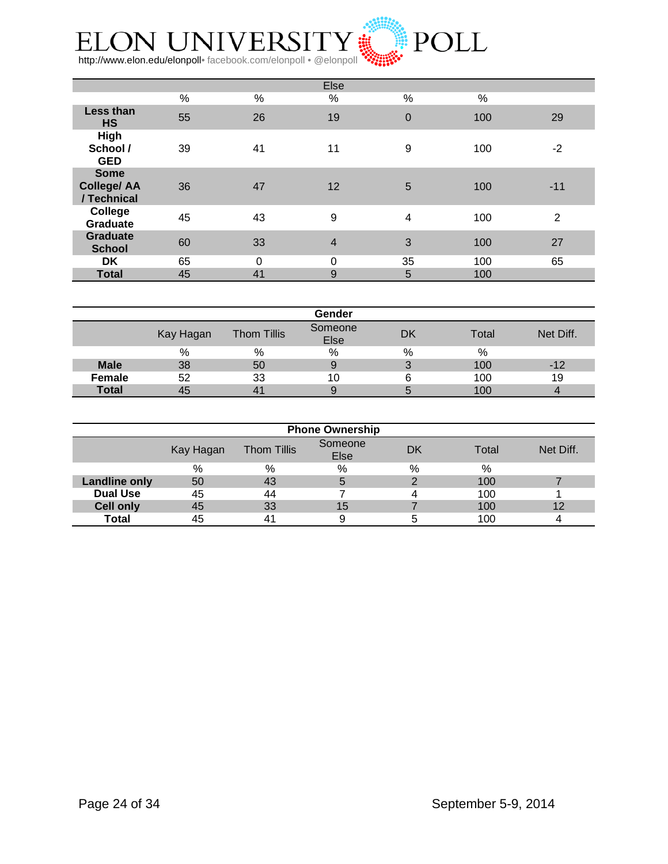

|                                                  |    |          | Else           |                |      |                |
|--------------------------------------------------|----|----------|----------------|----------------|------|----------------|
|                                                  | %  | %        | $\%$           | $\%$           | $\%$ |                |
| Less than<br><b>HS</b>                           | 55 | 26       | 19             | $\overline{0}$ | 100  | 29             |
| <b>High</b><br>School /<br><b>GED</b>            | 39 | 41       | 11             | 9              | 100  | $-2$           |
| <b>Some</b><br><b>College/ AA</b><br>/ Technical | 36 | 47       | 12             | 5              | 100  | $-11$          |
| College<br><b>Graduate</b>                       | 45 | 43       | 9              | 4              | 100  | $\overline{2}$ |
| <b>Graduate</b><br><b>School</b>                 | 60 | 33       | $\overline{4}$ | 3              | 100  | 27             |
| DK                                               | 65 | $\Omega$ | 0              | 35             | 100  | 65             |
| <b>Total</b>                                     | 45 | 41       | 9              | 5              | 100  |                |

|              |           |                    | Gender          |    |       |           |
|--------------|-----------|--------------------|-----------------|----|-------|-----------|
|              | Kay Hagan | <b>Thom Tillis</b> | Someone<br>Else | DK | Total | Net Diff. |
|              | %         | %                  | %               | %  | %     |           |
| <b>Male</b>  | 38        | 50                 |                 |    | 100   | -12       |
| Female       | 52        | 33                 | 10              |    | 100   | 19        |
| <b>Total</b> | 45        | 4                  |                 |    | 100   |           |

| <b>Phone Ownership</b> |           |                    |                 |    |       |           |
|------------------------|-----------|--------------------|-----------------|----|-------|-----------|
|                        | Kay Hagan | <b>Thom Tillis</b> | Someone<br>Else | DK | Total | Net Diff. |
|                        | %         | %                  | %               | %  | %     |           |
| <b>Landline only</b>   | 50        | 43                 | 5               |    | 100   |           |
| <b>Dual Use</b>        | 45        | 44                 |                 |    | 100   |           |
| <b>Cell only</b>       | 45        | 33                 | 15              |    | 100   | 12        |
| <b>Total</b>           | 45        | 41                 | 9               |    | 100   |           |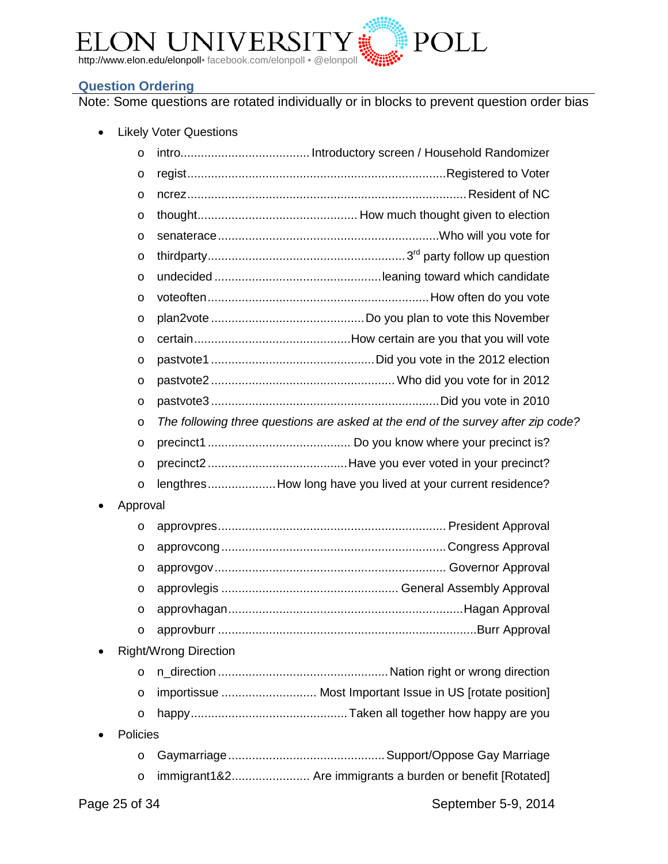

#### <span id="page-24-0"></span>**Question Ordering**

Note: Some questions are rotated individually or in blocks to prevent question order bias

• Likely Voter Questions

|           | $\circ$  |                                                                                  |
|-----------|----------|----------------------------------------------------------------------------------|
|           | O        |                                                                                  |
|           | O        |                                                                                  |
|           | O        |                                                                                  |
|           | $\circ$  |                                                                                  |
|           | $\circ$  |                                                                                  |
|           | $\circ$  |                                                                                  |
|           | $\circ$  |                                                                                  |
|           | O        |                                                                                  |
|           | $\circ$  |                                                                                  |
|           | $\circ$  |                                                                                  |
|           | O        |                                                                                  |
|           | $\circ$  |                                                                                  |
|           | $\circ$  | The following three questions are asked at the end of the survey after zip code? |
|           | $\circ$  |                                                                                  |
|           | O        |                                                                                  |
|           | $\circ$  | lengthresHow long have you lived at your current residence?                      |
| $\bullet$ | Approval |                                                                                  |
|           | $\circ$  |                                                                                  |
|           | $\circ$  |                                                                                  |
|           | O        |                                                                                  |
|           | O        |                                                                                  |
|           | $\circ$  |                                                                                  |
|           | $\circ$  |                                                                                  |
|           |          | <b>Right/Wrong Direction</b>                                                     |
|           | $\circ$  |                                                                                  |
|           | $\circ$  |                                                                                  |
|           | $\circ$  |                                                                                  |
|           | Policies |                                                                                  |

o Gaymarriage..............................................Support/Oppose Gay Marriage o immigrant1&2....................... Are immigrants a burden or benefit [Rotated]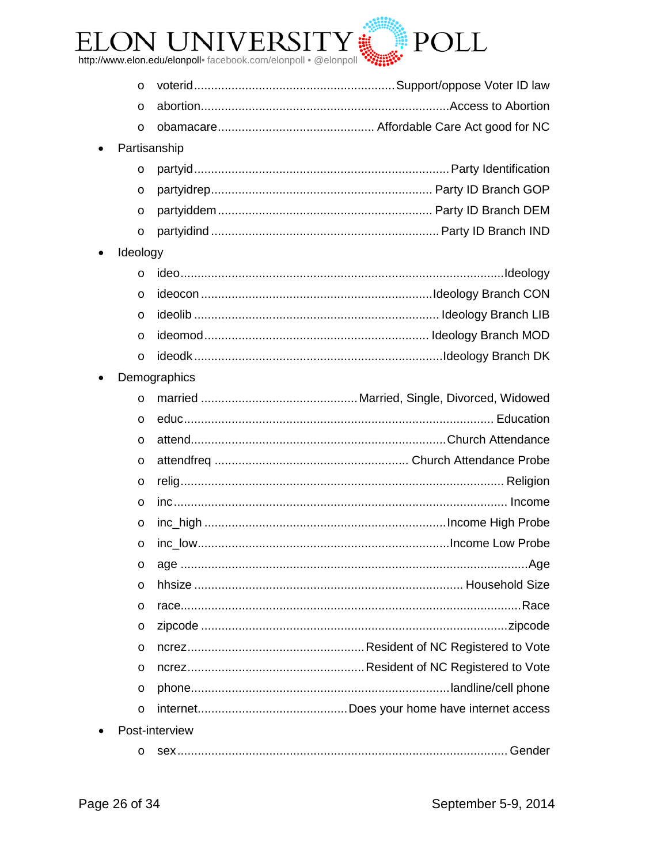

| $\circ$  |                |  |  |  |
|----------|----------------|--|--|--|
| $\circ$  |                |  |  |  |
| $\circ$  |                |  |  |  |
|          | Partisanship   |  |  |  |
| $\circ$  |                |  |  |  |
| O        |                |  |  |  |
| $\circ$  |                |  |  |  |
| $\circ$  |                |  |  |  |
| Ideology |                |  |  |  |
| $\circ$  |                |  |  |  |
| O        |                |  |  |  |
| $\circ$  |                |  |  |  |
| $\circ$  |                |  |  |  |
| $\circ$  |                |  |  |  |
|          | Demographics   |  |  |  |
| $\circ$  |                |  |  |  |
| $\circ$  |                |  |  |  |
| $\circ$  |                |  |  |  |
| $\circ$  |                |  |  |  |
| $\circ$  |                |  |  |  |
| $\circ$  |                |  |  |  |
| $\circ$  |                |  |  |  |
| $\circ$  |                |  |  |  |
| O        |                |  |  |  |
| $\circ$  |                |  |  |  |
| O        |                |  |  |  |
| O        |                |  |  |  |
| O        |                |  |  |  |
| O        |                |  |  |  |
| $\circ$  |                |  |  |  |
| $\circ$  |                |  |  |  |
|          | Post-interview |  |  |  |
|          |                |  |  |  |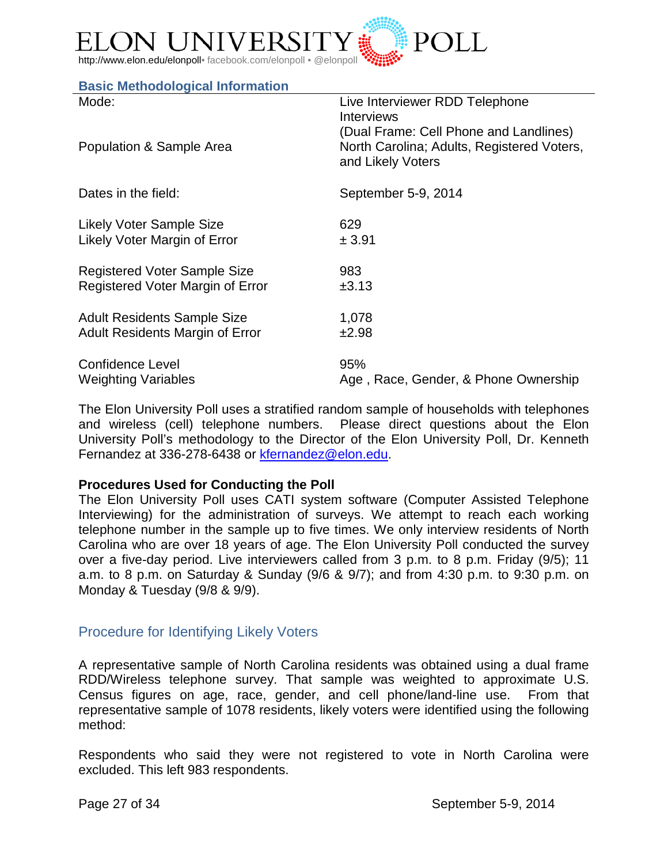

#### <span id="page-26-0"></span>**Basic Methodological Information**

| Mode:                                  | Live Interviewer RDD Telephone<br><b>Interviews</b><br>(Dual Frame: Cell Phone and Landlines) |
|----------------------------------------|-----------------------------------------------------------------------------------------------|
| Population & Sample Area               | North Carolina; Adults, Registered Voters,<br>and Likely Voters                               |
| Dates in the field:                    | September 5-9, 2014                                                                           |
| <b>Likely Voter Sample Size</b>        | 629                                                                                           |
| Likely Voter Margin of Error           | ± 3.91                                                                                        |
| Registered Voter Sample Size           | 983                                                                                           |
| Registered Voter Margin of Error       | ±3.13                                                                                         |
| <b>Adult Residents Sample Size</b>     | 1,078                                                                                         |
| <b>Adult Residents Margin of Error</b> | ±2.98                                                                                         |
| <b>Confidence Level</b>                | 95%                                                                                           |
| <b>Weighting Variables</b>             | Age, Race, Gender, & Phone Ownership                                                          |

The Elon University Poll uses a stratified random sample of households with telephones and wireless (cell) telephone numbers. Please direct questions about the Elon University Poll's methodology to the Director of the Elon University Poll, Dr. Kenneth Fernandez at 336-278-6438 or [kfernandez@elon.edu.](mailto:kfernandez@elon.edu)

#### **Procedures Used for Conducting the Poll**

The Elon University Poll uses CATI system software (Computer Assisted Telephone Interviewing) for the administration of surveys. We attempt to reach each working telephone number in the sample up to five times. We only interview residents of North Carolina who are over 18 years of age. The Elon University Poll conducted the survey over a five-day period. Live interviewers called from 3 p.m. to 8 p.m. Friday (9/5); 11 a.m. to 8 p.m. on Saturday & Sunday (9/6 & 9/7); and from 4:30 p.m. to 9:30 p.m. on Monday & Tuesday (9/8 & 9/9).

## <span id="page-26-1"></span>Procedure for Identifying Likely Voters

A representative sample of North Carolina residents was obtained using a dual frame RDD/Wireless telephone survey. That sample was weighted to approximate U.S. Census figures on age, race, gender, and cell phone/land-line use. From that representative sample of 1078 residents, likely voters were identified using the following method:

Respondents who said they were not registered to vote in North Carolina were excluded. This left 983 respondents.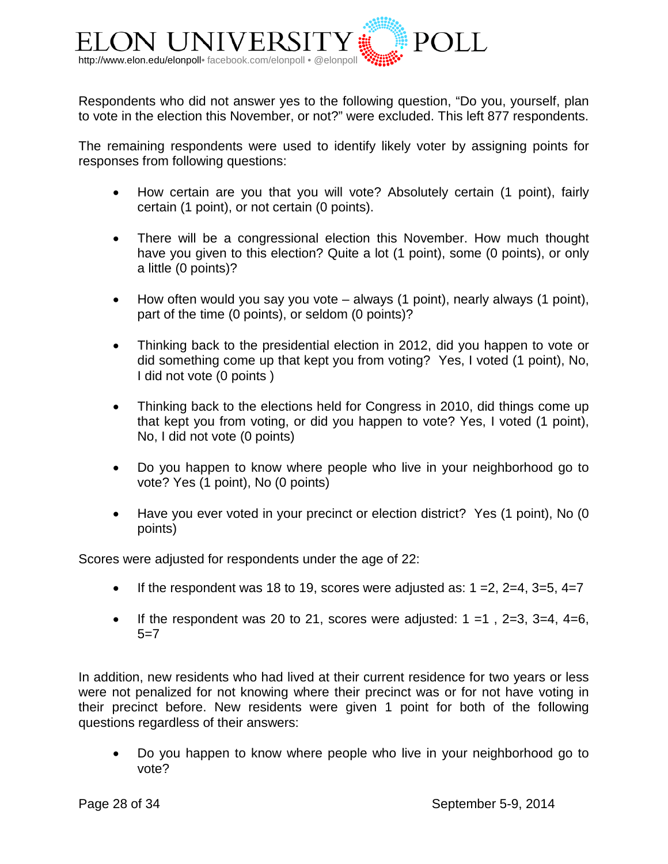

Respondents who did not answer yes to the following question, "Do you, yourself, plan to vote in the election this November, or not?" were excluded. This left 877 respondents.

The remaining respondents were used to identify likely voter by assigning points for responses from following questions:

- How certain are you that you will vote? Absolutely certain (1 point), fairly certain (1 point), or not certain (0 points).
- There will be a congressional election this November. How much thought have you given to this election? Quite a lot (1 point), some (0 points), or only a little (0 points)?
- How often would you say you vote always (1 point), nearly always (1 point), part of the time (0 points), or seldom (0 points)?
- Thinking back to the presidential election in 2012, did you happen to vote or did something come up that kept you from voting? Yes, I voted (1 point), No, I did not vote (0 points )
- Thinking back to the elections held for Congress in 2010, did things come up that kept you from voting, or did you happen to vote? Yes, I voted (1 point), No, I did not vote (0 points)
- Do you happen to know where people who live in your neighborhood go to vote? Yes (1 point), No (0 points)
- Have you ever voted in your precinct or election district? Yes (1 point), No (0 points)

Scores were adjusted for respondents under the age of 22:

- If the respondent was 18 to 19, scores were adjusted as:  $1 = 2$ ,  $2 = 4$ ,  $3 = 5$ ,  $4 = 7$
- If the respondent was 20 to 21, scores were adjusted:  $1 = 1$ ,  $2 = 3$ ,  $3 = 4$ ,  $4 = 6$ ,  $5=7$

In addition, new residents who had lived at their current residence for two years or less were not penalized for not knowing where their precinct was or for not have voting in their precinct before. New residents were given 1 point for both of the following questions regardless of their answers:

• Do you happen to know where people who live in your neighborhood go to vote?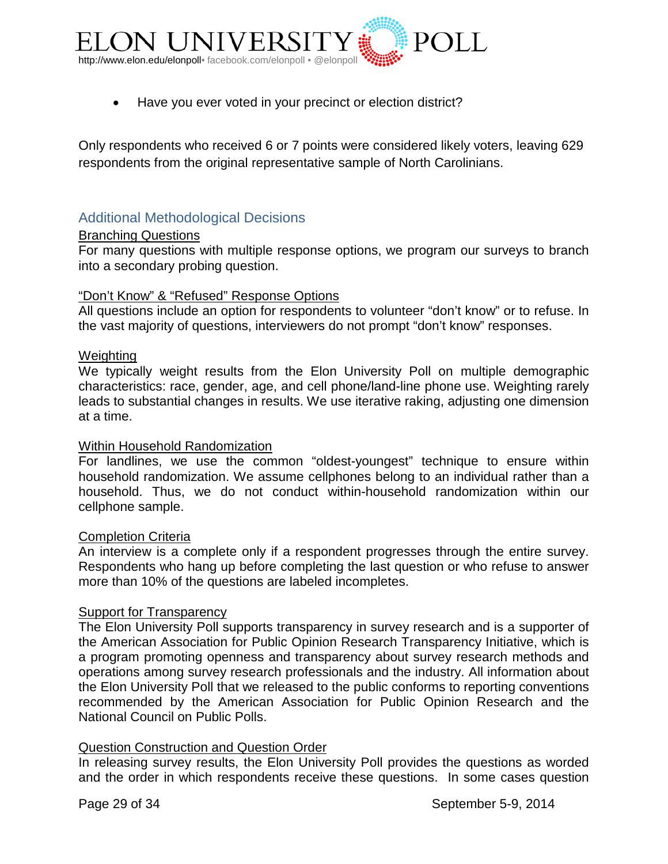

• Have you ever voted in your precinct or election district?

Only respondents who received 6 or 7 points were considered likely voters, leaving 629 respondents from the original representative sample of North Carolinians.

#### <span id="page-28-0"></span>Additional Methodological Decisions

#### Branching Questions

For many questions with multiple response options, we program our surveys to branch into a secondary probing question.

#### "Don't Know" & "Refused" Response Options

All questions include an option for respondents to volunteer "don't know" or to refuse. In the vast majority of questions, interviewers do not prompt "don't know" responses.

#### **Weighting**

We typically weight results from the Elon University Poll on multiple demographic characteristics: race, gender, age, and cell phone/land-line phone use. Weighting rarely leads to substantial changes in results. We use iterative raking, adjusting one dimension at a time.

#### Within Household Randomization

For landlines, we use the common "oldest-youngest" technique to ensure within household randomization. We assume cellphones belong to an individual rather than a household. Thus, we do not conduct within-household randomization within our cellphone sample.

#### Completion Criteria

An interview is a complete only if a respondent progresses through the entire survey. Respondents who hang up before completing the last question or who refuse to answer more than 10% of the questions are labeled incompletes.

#### Support for Transparency

The Elon University Poll supports transparency in survey research and is a supporter of the American Association for Public Opinion Research Transparency Initiative, which is a program promoting openness and transparency about survey research methods and operations among survey research professionals and the industry. All information about the Elon University Poll that we released to the public conforms to reporting conventions recommended by the American Association for Public Opinion Research and the National Council on Public Polls.

#### Question Construction and Question Order

In releasing survey results, the Elon University Poll provides the questions as worded and the order in which respondents receive these questions. In some cases question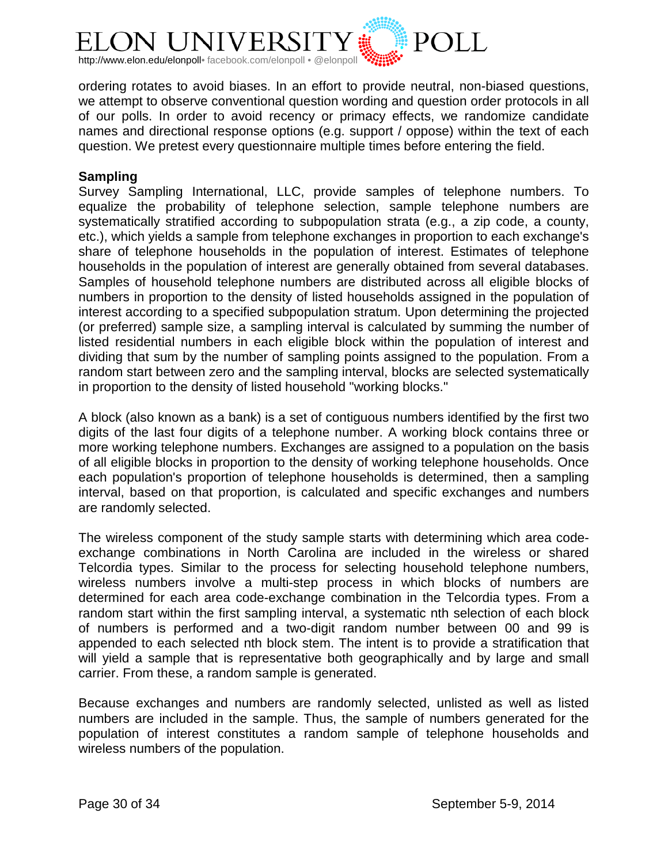

ordering rotates to avoid biases. In an effort to provide neutral, non-biased questions, we attempt to observe conventional question wording and question order protocols in all of our polls. In order to avoid recency or primacy effects, we randomize candidate names and directional response options (e.g. support / oppose) within the text of each question. We pretest every questionnaire multiple times before entering the field.

#### **Sampling**

Survey Sampling International, LLC, provide samples of telephone numbers. To equalize the probability of telephone selection, sample telephone numbers are systematically stratified according to subpopulation strata (e.g., a zip code, a county, etc.), which yields a sample from telephone exchanges in proportion to each exchange's share of telephone households in the population of interest. Estimates of telephone households in the population of interest are generally obtained from several databases. Samples of household telephone numbers are distributed across all eligible blocks of numbers in proportion to the density of listed households assigned in the population of interest according to a specified subpopulation stratum. Upon determining the projected (or preferred) sample size, a sampling interval is calculated by summing the number of listed residential numbers in each eligible block within the population of interest and dividing that sum by the number of sampling points assigned to the population. From a random start between zero and the sampling interval, blocks are selected systematically in proportion to the density of listed household "working blocks."

A block (also known as a bank) is a set of contiguous numbers identified by the first two digits of the last four digits of a telephone number. A working block contains three or more working telephone numbers. Exchanges are assigned to a population on the basis of all eligible blocks in proportion to the density of working telephone households. Once each population's proportion of telephone households is determined, then a sampling interval, based on that proportion, is calculated and specific exchanges and numbers are randomly selected.

The wireless component of the study sample starts with determining which area codeexchange combinations in North Carolina are included in the wireless or shared Telcordia types. Similar to the process for selecting household telephone numbers, wireless numbers involve a multi-step process in which blocks of numbers are determined for each area code-exchange combination in the Telcordia types. From a random start within the first sampling interval, a systematic nth selection of each block of numbers is performed and a two-digit random number between 00 and 99 is appended to each selected nth block stem. The intent is to provide a stratification that will yield a sample that is representative both geographically and by large and small carrier. From these, a random sample is generated.

Because exchanges and numbers are randomly selected, unlisted as well as listed numbers are included in the sample. Thus, the sample of numbers generated for the population of interest constitutes a random sample of telephone households and wireless numbers of the population.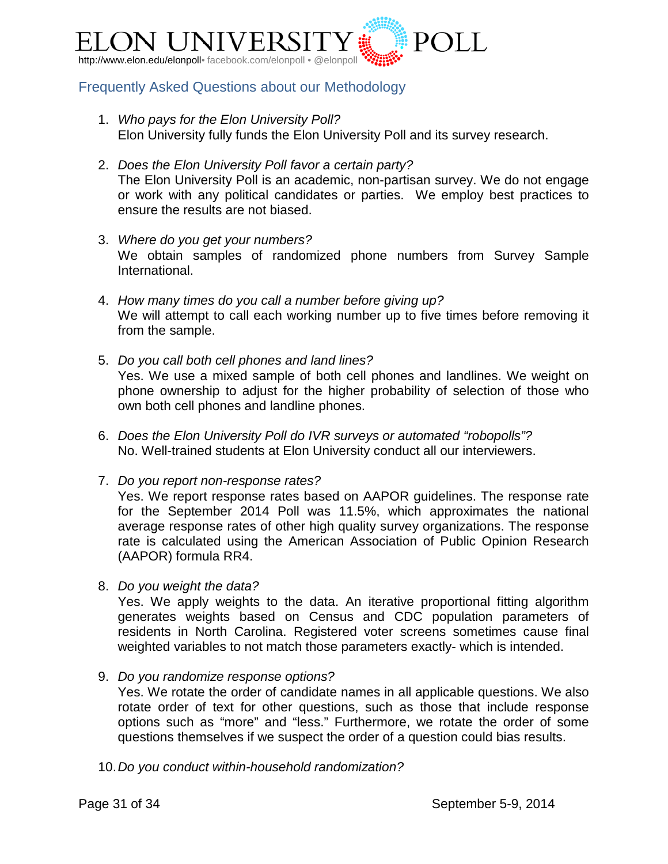

## <span id="page-30-0"></span>Frequently Asked Questions about our Methodology

- 1. *Who pays for the Elon University Poll?* Elon University fully funds the Elon University Poll and its survey research.
- 2. *Does the Elon University Poll favor a certain party?* The Elon University Poll is an academic, non-partisan survey. We do not engage or work with any political candidates or parties. We employ best practices to ensure the results are not biased.
- 3. *Where do you get your numbers?* We obtain samples of randomized phone numbers from Survey Sample International.
- 4. *How many times do you call a number before giving up?* We will attempt to call each working number up to five times before removing it from the sample.
- 5. *Do you call both cell phones and land lines?* Yes. We use a mixed sample of both cell phones and landlines. We weight on phone ownership to adjust for the higher probability of selection of those who own both cell phones and landline phones.
- 6. *Does the Elon University Poll do IVR surveys or automated "robopolls"?* No. Well-trained students at Elon University conduct all our interviewers.
- 7. *Do you report non-response rates?*

Yes. We report response rates based on AAPOR guidelines. The response rate for the September 2014 Poll was 11.5%, which approximates the national average response rates of other high quality survey organizations. The response rate is calculated using the American Association of Public Opinion Research (AAPOR) formula RR4.

8. *Do you weight the data?*

Yes. We apply weights to the data. An iterative proportional fitting algorithm generates weights based on Census and CDC population parameters of residents in North Carolina. Registered voter screens sometimes cause final weighted variables to not match those parameters exactly- which is intended.

9. *Do you randomize response options?*

Yes. We rotate the order of candidate names in all applicable questions. We also rotate order of text for other questions, such as those that include response options such as "more" and "less." Furthermore, we rotate the order of some questions themselves if we suspect the order of a question could bias results.

10.*Do you conduct within-household randomization?*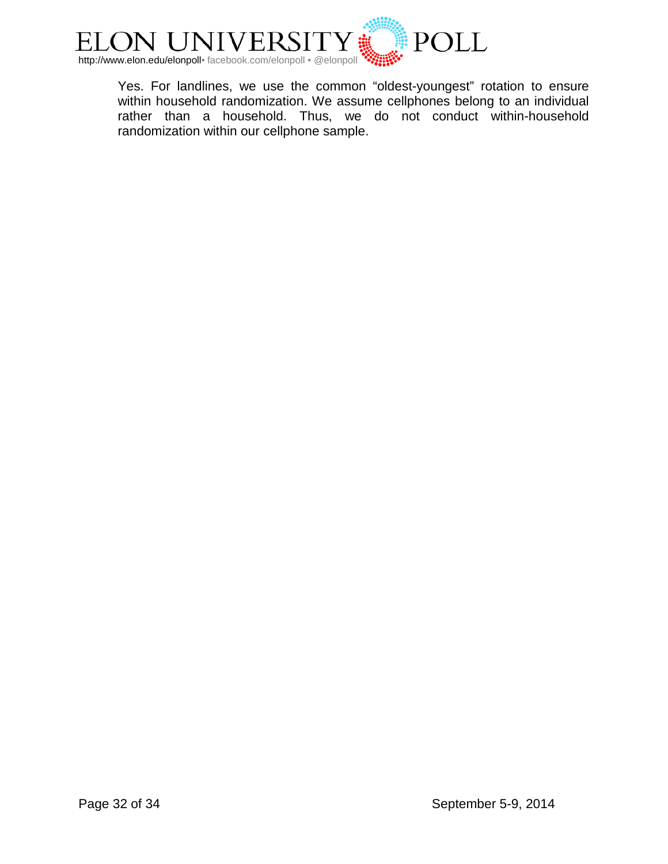

Yes. For landlines, we use the common "oldest-youngest" rotation to ensure within household randomization. We assume cellphones belong to an individual rather than a household. Thus, we do not conduct within-household randomization within our cellphone sample.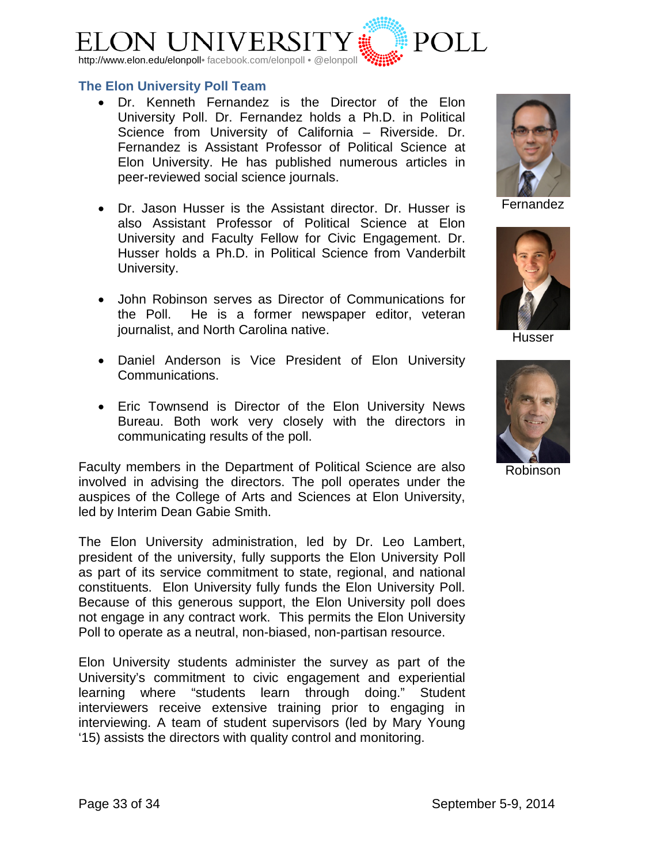

#### <span id="page-32-0"></span>**The Elon University Poll Team**

- [Dr. Kenneth Fernandez](http://www.elon.edu/directories/profile/?user=kfernandez) is the Director of the Elon University Poll. Dr. Fernandez holds a Ph.D. in Political Science from University of California – Riverside. Dr. Fernandez is Assistant Professor of Political Science at Elon University. He has published numerous articles in peer-reviewed social science journals.
- [Dr. Jason Husser](http://www.elon.edu/directories/profile/?user=jhusser) is the Assistant director. Dr. Husser is also Assistant Professor of Political Science at Elon University and Faculty Fellow for Civic Engagement. Dr. Husser holds a Ph.D. in Political Science from Vanderbilt University.
- John Robinson serves as Director of Communications for the Poll. He is a former newspaper editor, veteran journalist, and North Carolina native.
- Daniel Anderson is Vice President of Elon University Communications.
- Eric Townsend is Director of the Elon University News Bureau. Both work very closely with the directors in communicating results of the poll.

Faculty members in the Department of Political Science are also involved in advising the directors. The poll operates under the auspices of the College of Arts and Sciences at Elon University, led by Interim Dean Gabie Smith.

The Elon University administration, led by Dr. Leo Lambert, president of the university, fully supports the Elon University Poll as part of its service commitment to state, regional, and national constituents. Elon University fully funds the Elon University Poll. Because of this generous support, the Elon University poll does not engage in any contract work. This permits the Elon University Poll to operate as a neutral, non-biased, non-partisan resource.

Elon University students administer the survey as part of the University's commitment to civic engagement and experiential learning where "students learn through doing." Student interviewers receive extensive training prior to engaging in interviewing. A team of student supervisors (led by Mary Young '15) assists the directors with quality control and monitoring.



Fernandez



Husser



Robinson